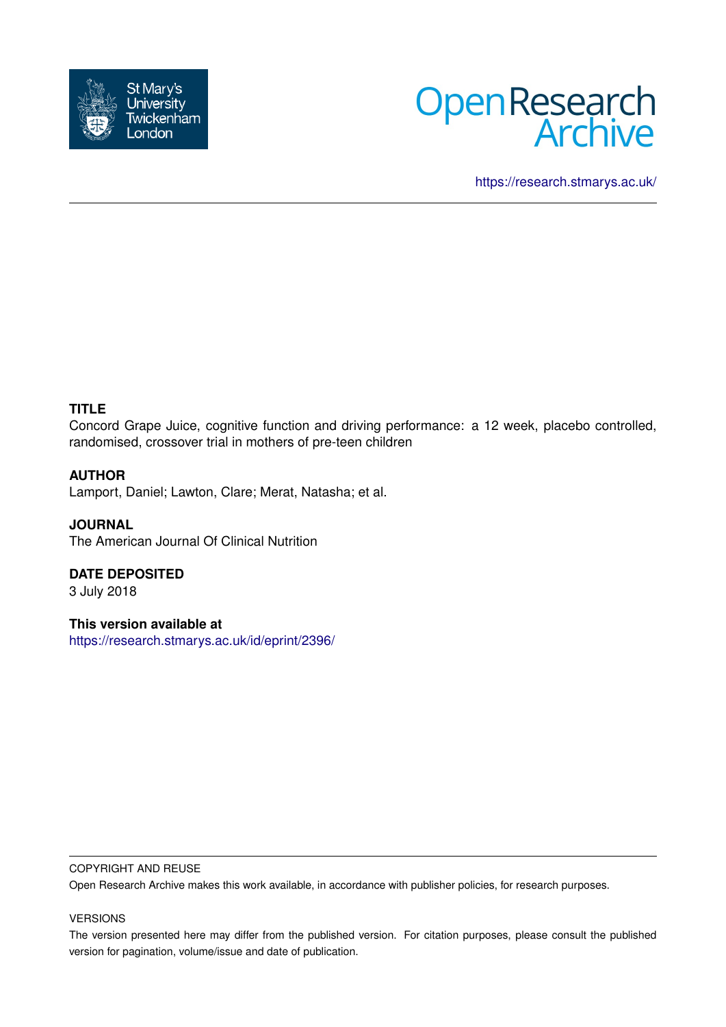



<https://research.stmarys.ac.uk/>

# **TITLE**

Concord Grape Juice, cognitive function and driving performance: a 12 week, placebo controlled, randomised, crossover trial in mothers of pre-teen children

## **AUTHOR**

Lamport, Daniel; Lawton, Clare; Merat, Natasha; et al.

**JOURNAL** The American Journal Of Clinical Nutrition

# **DATE DEPOSITED**

3 July 2018

**This version available at**

<https://research.stmarys.ac.uk/id/eprint/2396/>

## COPYRIGHT AND REUSE

Open Research Archive makes this work available, in accordance with publisher policies, for research purposes.

#### VERSIONS

The version presented here may differ from the published version. For citation purposes, please consult the published version for pagination, volume/issue and date of publication.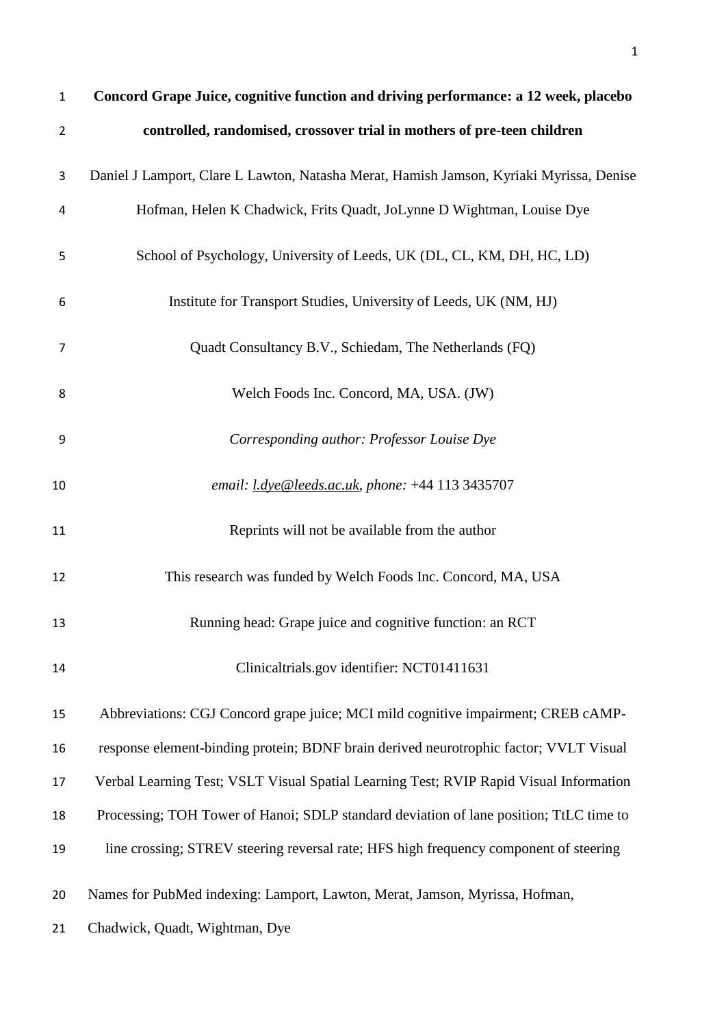| $\mathbf{1}$   | Concord Grape Juice, cognitive function and driving performance: a 12 week, placebo     |
|----------------|-----------------------------------------------------------------------------------------|
| $\overline{2}$ | controlled, randomised, crossover trial in mothers of pre-teen children                 |
| 3              | Daniel J Lamport, Clare L Lawton, Natasha Merat, Hamish Jamson, Kyriaki Myrissa, Denise |
| 4              | Hofman, Helen K Chadwick, Frits Quadt, JoLynne D Wightman, Louise Dye                   |
| 5              | School of Psychology, University of Leeds, UK (DL, CL, KM, DH, HC, LD)                  |
| 6              | Institute for Transport Studies, University of Leeds, UK (NM, HJ)                       |
| 7              | Quadt Consultancy B.V., Schiedam, The Netherlands (FQ)                                  |
| 8              | Welch Foods Inc. Concord, MA, USA. (JW)                                                 |
| 9              | Corresponding author: Professor Louise Dye                                              |
| 10             | email: <i>l.dye@leeds.ac.uk, phone:</i> +44 113 3435707                                 |
| 11             | Reprints will not be available from the author                                          |
| 12             | This research was funded by Welch Foods Inc. Concord, MA, USA                           |
| 13             | Running head: Grape juice and cognitive function: an RCT                                |
| 14             | Clinicaltrials.gov identifier: NCT01411631                                              |
| 15             | Abbreviations: CGJ Concord grape juice; MCI mild cognitive impairment; CREB cAMP-       |
| 16             | response element-binding protein; BDNF brain derived neurotrophic factor; VVLT Visual   |
| 17             | Verbal Learning Test; VSLT Visual Spatial Learning Test; RVIP Rapid Visual Information  |
| 18             | Processing; TOH Tower of Hanoi; SDLP standard deviation of lane position; TtLC time to  |
| 19             | line crossing; STREV steering reversal rate; HFS high frequency component of steering   |
| 20             | Names for PubMed indexing: Lamport, Lawton, Merat, Jamson, Myrissa, Hofman,             |
| 21             | Chadwick, Quadt, Wightman, Dye                                                          |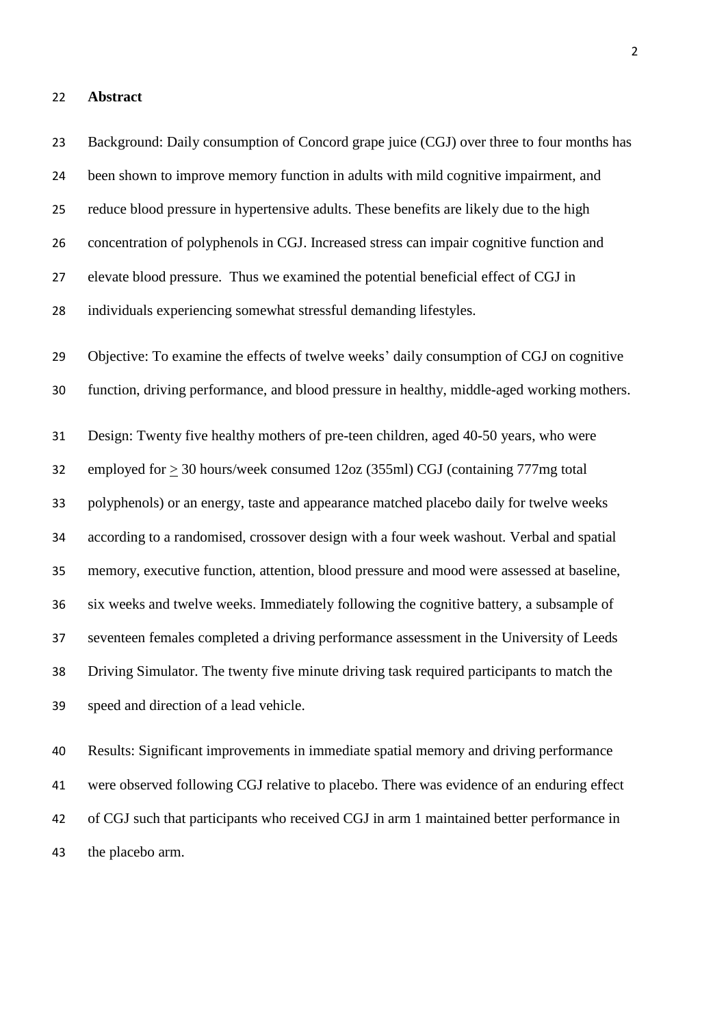#### **Abstract**

 Background: Daily consumption of Concord grape juice (CGJ) over three to four months has been shown to improve memory function in adults with mild cognitive impairment, and reduce blood pressure in hypertensive adults. These benefits are likely due to the high concentration of polyphenols in CGJ. Increased stress can impair cognitive function and elevate blood pressure. Thus we examined the potential beneficial effect of CGJ in individuals experiencing somewhat stressful demanding lifestyles. Objective: To examine the effects of twelve weeks' daily consumption of CGJ on cognitive function, driving performance, and blood pressure in healthy, middle-aged working mothers. Design: Twenty five healthy mothers of pre-teen children, aged 40-50 years, who were employed for > 30 hours/week consumed 12oz (355ml) CGJ (containing 777mg total polyphenols) or an energy, taste and appearance matched placebo daily for twelve weeks according to a randomised, crossover design with a four week washout. Verbal and spatial memory, executive function, attention, blood pressure and mood were assessed at baseline, six weeks and twelve weeks. Immediately following the cognitive battery, a subsample of seventeen females completed a driving performance assessment in the University of Leeds Driving Simulator. The twenty five minute driving task required participants to match the speed and direction of a lead vehicle.

 Results: Significant improvements in immediate spatial memory and driving performance were observed following CGJ relative to placebo. There was evidence of an enduring effect of CGJ such that participants who received CGJ in arm 1 maintained better performance in the placebo arm.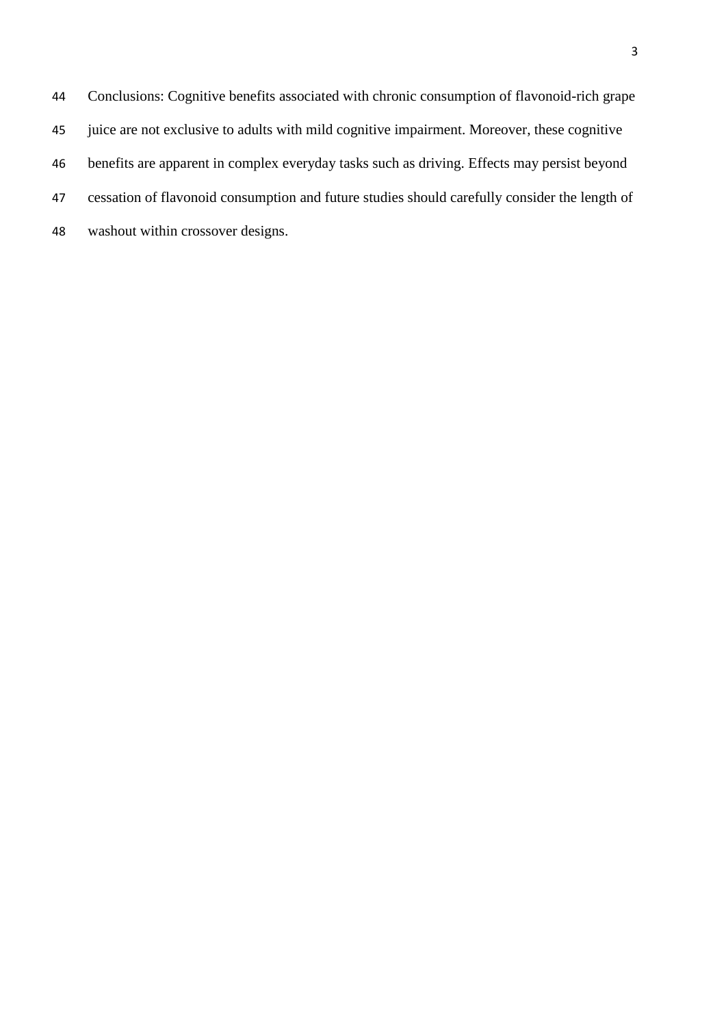Conclusions: Cognitive benefits associated with chronic consumption of flavonoid-rich grape juice are not exclusive to adults with mild cognitive impairment. Moreover, these cognitive benefits are apparent in complex everyday tasks such as driving. Effects may persist beyond cessation of flavonoid consumption and future studies should carefully consider the length of washout within crossover designs.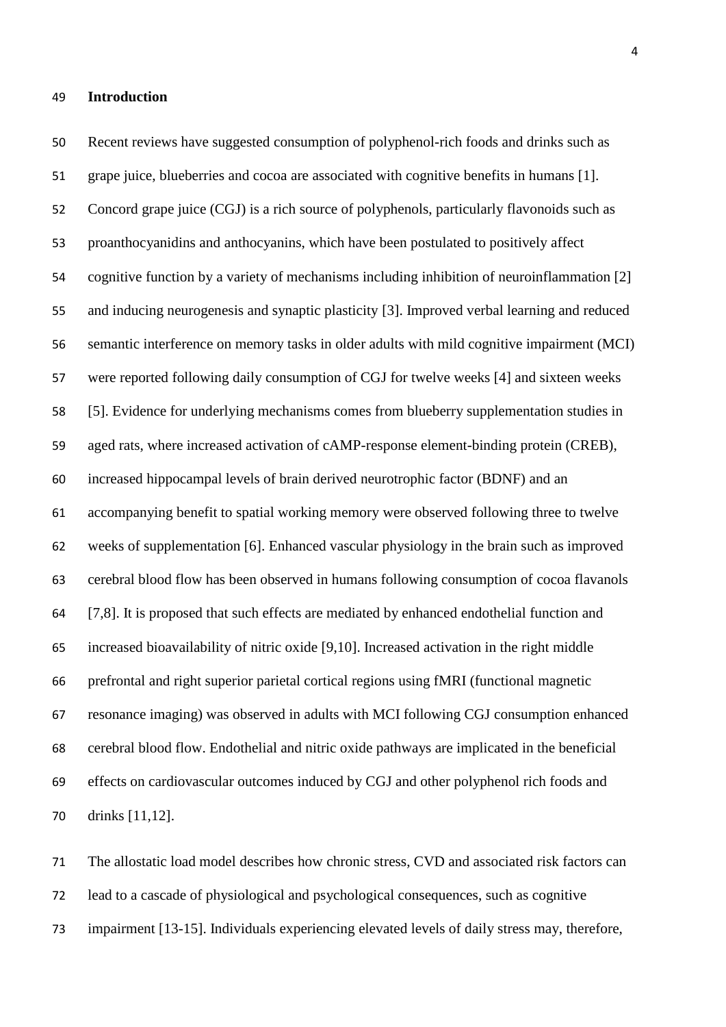#### **Introduction**

 Recent reviews have suggested consumption of polyphenol-rich foods and drinks such as grape juice, blueberries and cocoa are associated with cognitive benefits in humans [1]. Concord grape juice (CGJ) is a rich source of polyphenols, particularly flavonoids such as proanthocyanidins and anthocyanins, which have been postulated to positively affect cognitive function by a variety of mechanisms including inhibition of neuroinflammation [2] and inducing neurogenesis and synaptic plasticity [3]. Improved verbal learning and reduced semantic interference on memory tasks in older adults with mild cognitive impairment (MCI) were reported following daily consumption of CGJ for twelve weeks [4] and sixteen weeks [5]. Evidence for underlying mechanisms comes from blueberry supplementation studies in aged rats, where increased activation of cAMP-response element-binding protein (CREB), increased hippocampal levels of brain derived neurotrophic factor (BDNF) and an accompanying benefit to spatial working memory were observed following three to twelve weeks of supplementation [6]. Enhanced vascular physiology in the brain such as improved cerebral blood flow has been observed in humans following consumption of cocoa flavanols [7,8]. It is proposed that such effects are mediated by enhanced endothelial function and increased bioavailability of nitric oxide [9,10]. Increased activation in the right middle prefrontal and right superior parietal cortical regions using fMRI (functional magnetic resonance imaging) was observed in adults with MCI following CGJ consumption enhanced cerebral blood flow. Endothelial and nitric oxide pathways are implicated in the beneficial effects on cardiovascular outcomes induced by CGJ and other polyphenol rich foods and drinks [11,12].

 The allostatic load model describes how chronic stress, CVD and associated risk factors can lead to a cascade of physiological and psychological consequences, such as cognitive impairment [13-15]. Individuals experiencing elevated levels of daily stress may, therefore,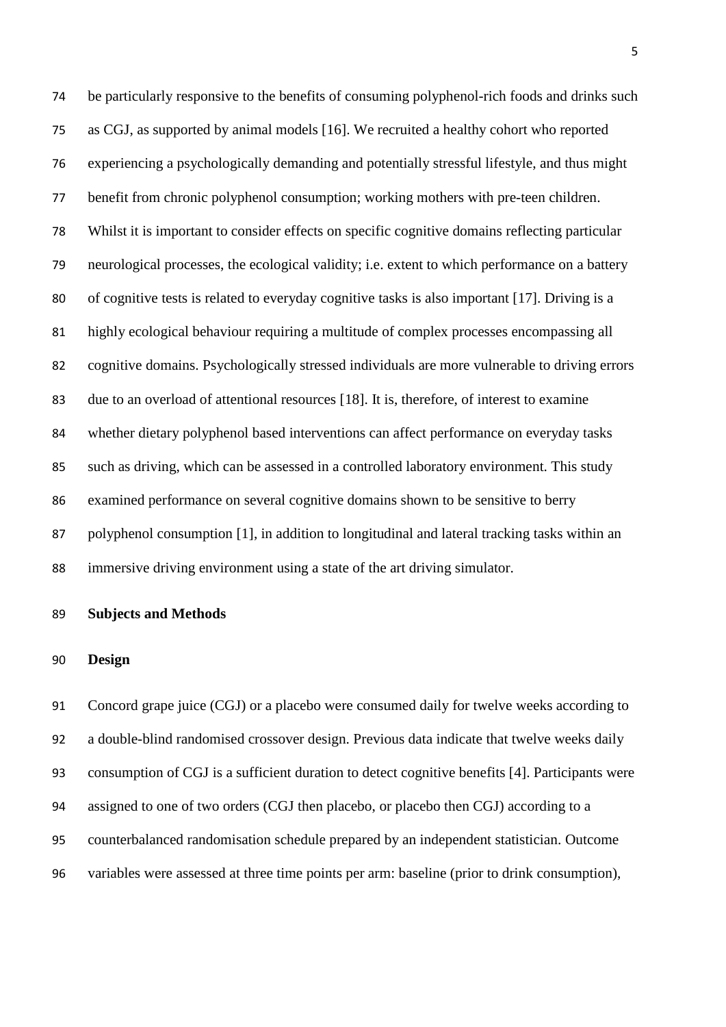be particularly responsive to the benefits of consuming polyphenol-rich foods and drinks such as CGJ, as supported by animal models [16]. We recruited a healthy cohort who reported experiencing a psychologically demanding and potentially stressful lifestyle, and thus might benefit from chronic polyphenol consumption; working mothers with pre-teen children. Whilst it is important to consider effects on specific cognitive domains reflecting particular neurological processes, the ecological validity; i.e. extent to which performance on a battery of cognitive tests is related to everyday cognitive tasks is also important [17]. Driving is a highly ecological behaviour requiring a multitude of complex processes encompassing all cognitive domains. Psychologically stressed individuals are more vulnerable to driving errors due to an overload of attentional resources [18]. It is, therefore, of interest to examine whether dietary polyphenol based interventions can affect performance on everyday tasks such as driving, which can be assessed in a controlled laboratory environment. This study examined performance on several cognitive domains shown to be sensitive to berry polyphenol consumption [1], in addition to longitudinal and lateral tracking tasks within an immersive driving environment using a state of the art driving simulator.

#### **Subjects and Methods**

## **Design**

 Concord grape juice (CGJ) or a placebo were consumed daily for twelve weeks according to a double-blind randomised crossover design. Previous data indicate that twelve weeks daily consumption of CGJ is a sufficient duration to detect cognitive benefits [4]. Participants were assigned to one of two orders (CGJ then placebo, or placebo then CGJ) according to a counterbalanced randomisation schedule prepared by an independent statistician. Outcome variables were assessed at three time points per arm: baseline (prior to drink consumption),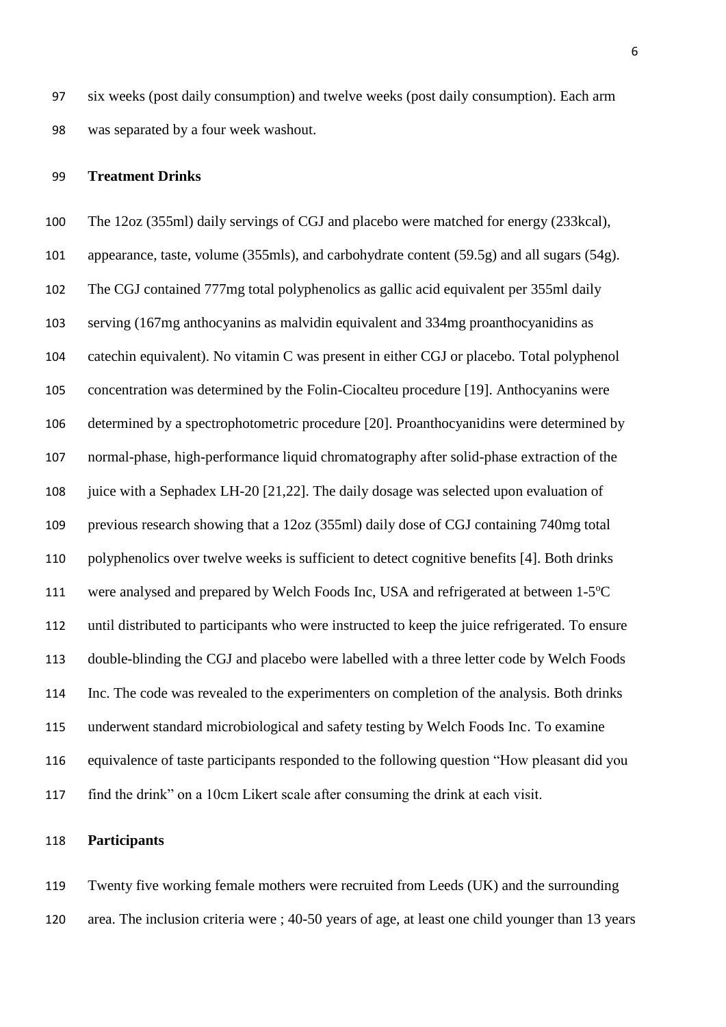six weeks (post daily consumption) and twelve weeks (post daily consumption). Each arm was separated by a four week washout.

#### **Treatment Drinks**

 The 12oz (355ml) daily servings of CGJ and placebo were matched for energy (233kcal), appearance, taste, volume (355mls), and carbohydrate content (59.5g) and all sugars (54g). The CGJ contained 777mg total polyphenolics as gallic acid equivalent per 355ml daily serving (167mg anthocyanins as malvidin equivalent and 334mg proanthocyanidins as catechin equivalent). No vitamin C was present in either CGJ or placebo. Total polyphenol concentration was determined by the Folin-Ciocalteu procedure [19]. Anthocyanins were determined by a spectrophotometric procedure [20]. Proanthocyanidins were determined by normal-phase, high-performance liquid chromatography after solid-phase extraction of the juice with a Sephadex LH-20 [21,22]. The daily dosage was selected upon evaluation of previous research showing that a 12oz (355ml) daily dose of CGJ containing 740mg total polyphenolics over twelve weeks is sufficient to detect cognitive benefits [4]. Both drinks 111 were analysed and prepared by Welch Foods Inc, USA and refrigerated at between 1-5°C until distributed to participants who were instructed to keep the juice refrigerated. To ensure double-blinding the CGJ and placebo were labelled with a three letter code by Welch Foods Inc. The code was revealed to the experimenters on completion of the analysis. Both drinks underwent standard microbiological and safety testing by Welch Foods Inc. To examine equivalence of taste participants responded to the following question "How pleasant did you find the drink" on a 10cm Likert scale after consuming the drink at each visit.

## **Participants**

 Twenty five working female mothers were recruited from Leeds (UK) and the surrounding area. The inclusion criteria were ; 40-50 years of age, at least one child younger than 13 years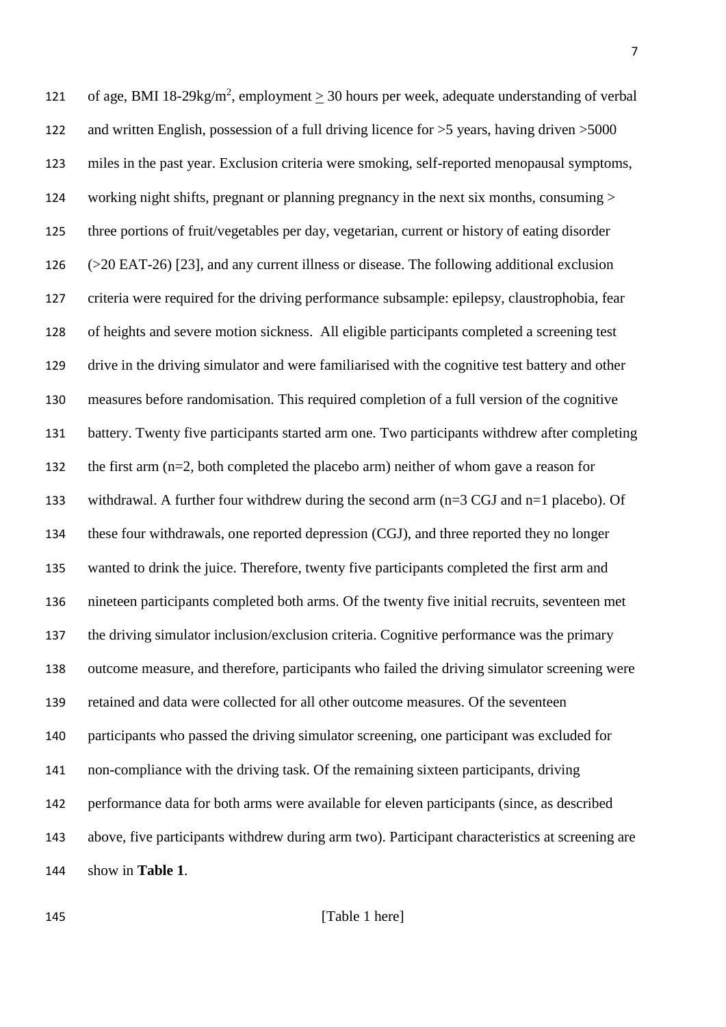121 of age, BMI 18-29kg/m<sup>2</sup>, employment  $\geq$  30 hours per week, adequate understanding of verbal and written English, possession of a full driving licence for >5 years, having driven >5000 miles in the past year. Exclusion criteria were smoking, self-reported menopausal symptoms, working night shifts, pregnant or planning pregnancy in the next six months, consuming > three portions of fruit/vegetables per day, vegetarian, current or history of eating disorder (>20 EAT-26) [23], and any current illness or disease. The following additional exclusion criteria were required for the driving performance subsample: epilepsy, claustrophobia, fear of heights and severe motion sickness. All eligible participants completed a screening test drive in the driving simulator and were familiarised with the cognitive test battery and other measures before randomisation. This required completion of a full version of the cognitive battery. Twenty five participants started arm one. Two participants withdrew after completing the first arm (n=2, both completed the placebo arm) neither of whom gave a reason for withdrawal. A further four withdrew during the second arm (n=3 CGJ and n=1 placebo). Of these four withdrawals, one reported depression (CGJ), and three reported they no longer wanted to drink the juice. Therefore, twenty five participants completed the first arm and nineteen participants completed both arms. Of the twenty five initial recruits, seventeen met the driving simulator inclusion/exclusion criteria. Cognitive performance was the primary outcome measure, and therefore, participants who failed the driving simulator screening were retained and data were collected for all other outcome measures. Of the seventeen participants who passed the driving simulator screening, one participant was excluded for non-compliance with the driving task. Of the remaining sixteen participants, driving performance data for both arms were available for eleven participants (since, as described above, five participants withdrew during arm two). Participant characteristics at screening are show in **Table 1**.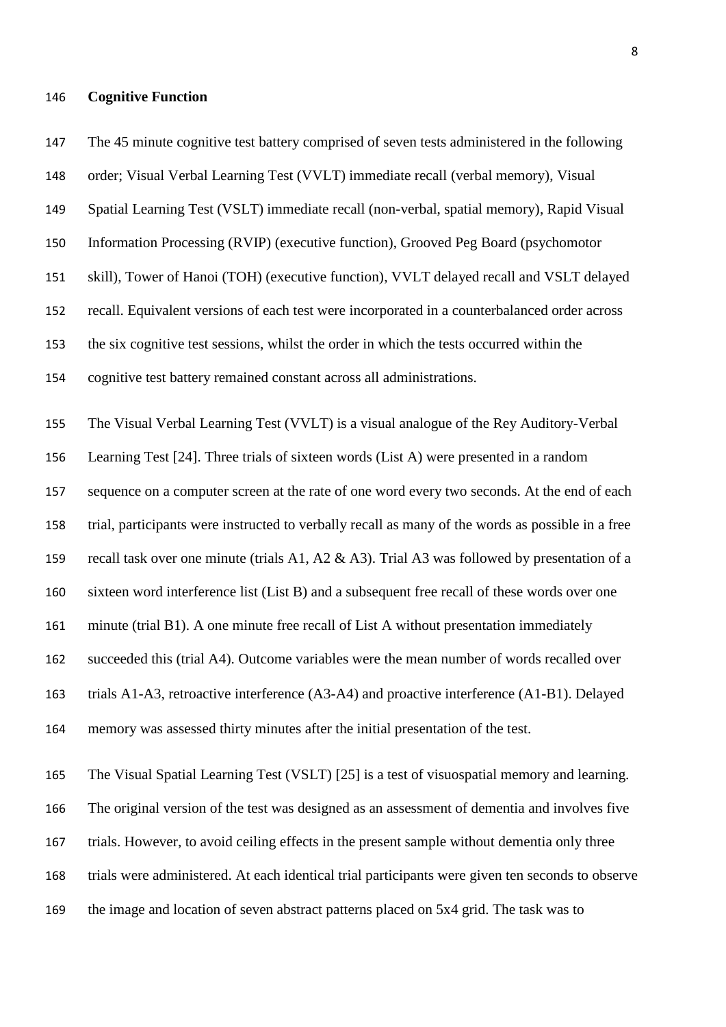#### **Cognitive Function**

 The 45 minute cognitive test battery comprised of seven tests administered in the following order; Visual Verbal Learning Test (VVLT) immediate recall (verbal memory), Visual Spatial Learning Test (VSLT) immediate recall (non-verbal, spatial memory), Rapid Visual Information Processing (RVIP) (executive function), Grooved Peg Board (psychomotor skill), Tower of Hanoi (TOH) (executive function), VVLT delayed recall and VSLT delayed recall. Equivalent versions of each test were incorporated in a counterbalanced order across the six cognitive test sessions, whilst the order in which the tests occurred within the cognitive test battery remained constant across all administrations. The Visual Verbal Learning Test (VVLT) is a visual analogue of the Rey Auditory-Verbal Learning Test [24]. Three trials of sixteen words (List A) were presented in a random sequence on a computer screen at the rate of one word every two seconds. At the end of each trial, participants were instructed to verbally recall as many of the words as possible in a free recall task over one minute (trials A1, A2 & A3). Trial A3 was followed by presentation of a sixteen word interference list (List B) and a subsequent free recall of these words over one minute (trial B1). A one minute free recall of List A without presentation immediately succeeded this (trial A4). Outcome variables were the mean number of words recalled over trials A1-A3, retroactive interference (A3-A4) and proactive interference (A1-B1). Delayed memory was assessed thirty minutes after the initial presentation of the test. The Visual Spatial Learning Test (VSLT) [25] is a test of visuospatial memory and learning. The original version of the test was designed as an assessment of dementia and involves five trials. However, to avoid ceiling effects in the present sample without dementia only three trials were administered. At each identical trial participants were given ten seconds to observe

the image and location of seven abstract patterns placed on 5x4 grid. The task was to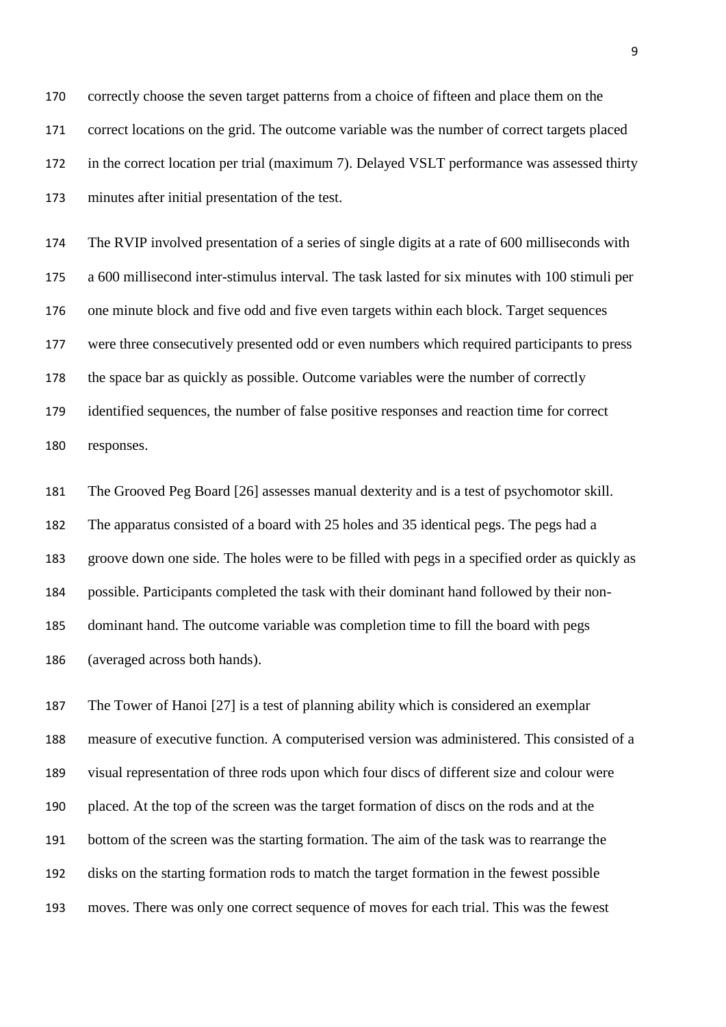correctly choose the seven target patterns from a choice of fifteen and place them on the correct locations on the grid. The outcome variable was the number of correct targets placed in the correct location per trial (maximum 7). Delayed VSLT performance was assessed thirty minutes after initial presentation of the test.

 The RVIP involved presentation of a series of single digits at a rate of 600 milliseconds with a 600 millisecond inter-stimulus interval. The task lasted for six minutes with 100 stimuli per one minute block and five odd and five even targets within each block. Target sequences were three consecutively presented odd or even numbers which required participants to press the space bar as quickly as possible. Outcome variables were the number of correctly identified sequences, the number of false positive responses and reaction time for correct responses.

 The Grooved Peg Board [26] assesses manual dexterity and is a test of psychomotor skill. The apparatus consisted of a board with 25 holes and 35 identical pegs. The pegs had a groove down one side. The holes were to be filled with pegs in a specified order as quickly as possible. Participants completed the task with their dominant hand followed by their non- dominant hand. The outcome variable was completion time to fill the board with pegs (averaged across both hands).

 The Tower of Hanoi [27] is a test of planning ability which is considered an exemplar measure of executive function. A computerised version was administered. This consisted of a visual representation of three rods upon which four discs of different size and colour were placed. At the top of the screen was the target formation of discs on the rods and at the bottom of the screen was the starting formation. The aim of the task was to rearrange the disks on the starting formation rods to match the target formation in the fewest possible moves. There was only one correct sequence of moves for each trial. This was the fewest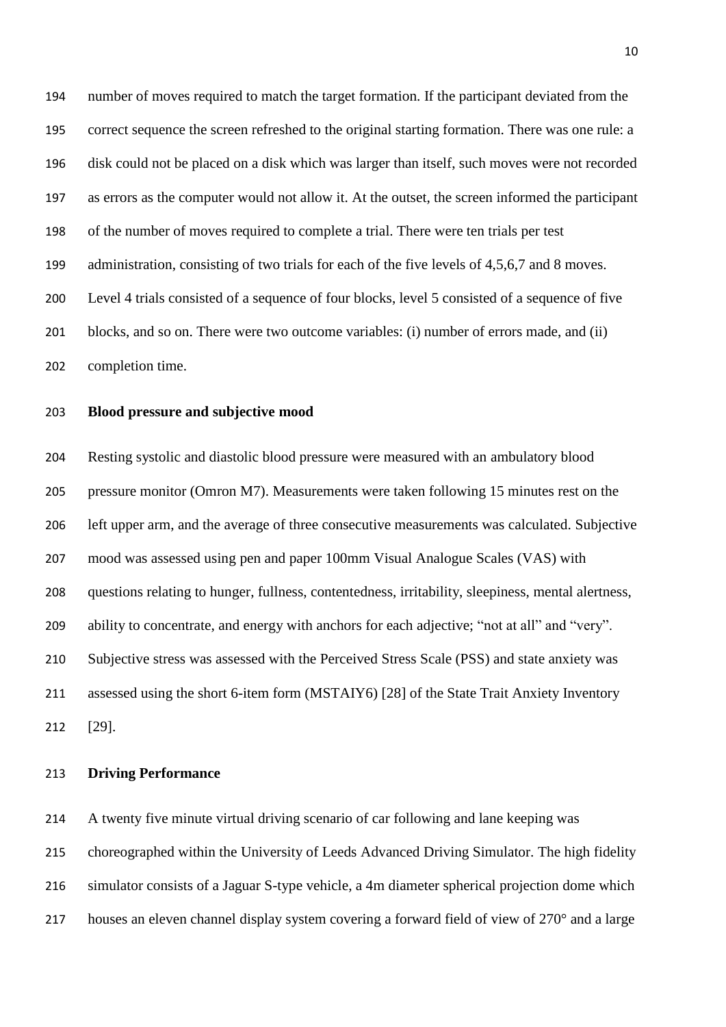number of moves required to match the target formation. If the participant deviated from the correct sequence the screen refreshed to the original starting formation. There was one rule: a disk could not be placed on a disk which was larger than itself, such moves were not recorded as errors as the computer would not allow it. At the outset, the screen informed the participant of the number of moves required to complete a trial. There were ten trials per test 199 administration, consisting of two trials for each of the five levels of 4,5,6,7 and 8 moves. Level 4 trials consisted of a sequence of four blocks, level 5 consisted of a sequence of five blocks, and so on. There were two outcome variables: (i) number of errors made, and (ii) completion time.

## **Blood pressure and subjective mood**

 Resting systolic and diastolic blood pressure were measured with an ambulatory blood pressure monitor (Omron M7). Measurements were taken following 15 minutes rest on the left upper arm, and the average of three consecutive measurements was calculated. Subjective mood was assessed using pen and paper 100mm Visual Analogue Scales (VAS) with questions relating to hunger, fullness, contentedness, irritability, sleepiness, mental alertness, ability to concentrate, and energy with anchors for each adjective; "not at all" and "very". Subjective stress was assessed with the Perceived Stress Scale (PSS) and state anxiety was assessed using the short 6-item form (MSTAIY6) [28] of the State Trait Anxiety Inventory [29].

## **Driving Performance**

 A twenty five minute virtual driving scenario of car following and lane keeping was choreographed within the University of Leeds Advanced Driving Simulator. The high fidelity simulator consists of a Jaguar S-type vehicle, a 4m diameter spherical projection dome which houses an eleven channel display system covering a forward field of view of 270° and a large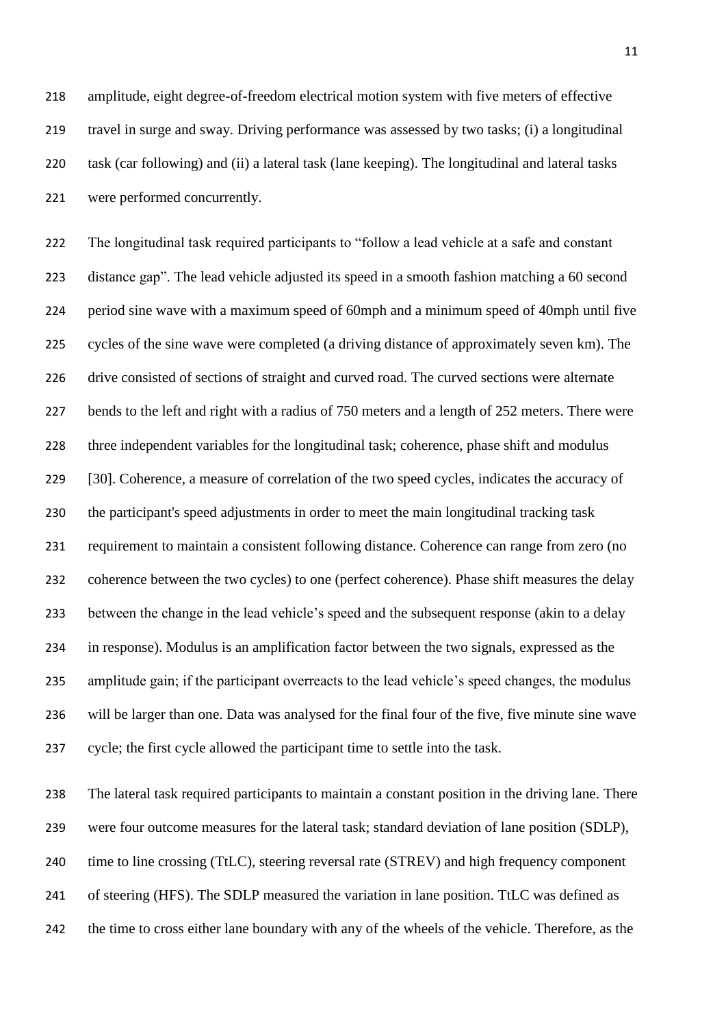amplitude, eight degree-of-freedom electrical motion system with five meters of effective travel in surge and sway. Driving performance was assessed by two tasks; (i) a longitudinal task (car following) and (ii) a lateral task (lane keeping). The longitudinal and lateral tasks were performed concurrently.

 The longitudinal task required participants to "follow a lead vehicle at a safe and constant distance gap". The lead vehicle adjusted its speed in a smooth fashion matching a 60 second period sine wave with a maximum speed of 60mph and a minimum speed of 40mph until five cycles of the sine wave were completed (a driving distance of approximately seven km). The drive consisted of sections of straight and curved road. The curved sections were alternate 227 bends to the left and right with a radius of 750 meters and a length of 252 meters. There were three independent variables for the longitudinal task; coherence, phase shift and modulus [30]. Coherence, a measure of correlation of the two speed cycles, indicates the accuracy of the participant's speed adjustments in order to meet the main longitudinal tracking task requirement to maintain a consistent following distance. Coherence can range from zero (no coherence between the two cycles) to one (perfect coherence). Phase shift measures the delay between the change in the lead vehicle's speed and the subsequent response (akin to a delay in response). Modulus is an amplification factor between the two signals, expressed as the amplitude gain; if the participant overreacts to the lead vehicle's speed changes, the modulus will be larger than one. Data was analysed for the final four of the five, five minute sine wave cycle; the first cycle allowed the participant time to settle into the task.

 The lateral task required participants to maintain a constant position in the driving lane. There were four outcome measures for the lateral task; standard deviation of lane position (SDLP), 240 time to line crossing (TtLC), steering reversal rate (STREV) and high frequency component of steering (HFS). The SDLP measured the variation in lane position. TtLC was defined as the time to cross either lane boundary with any of the wheels of the vehicle. Therefore, as the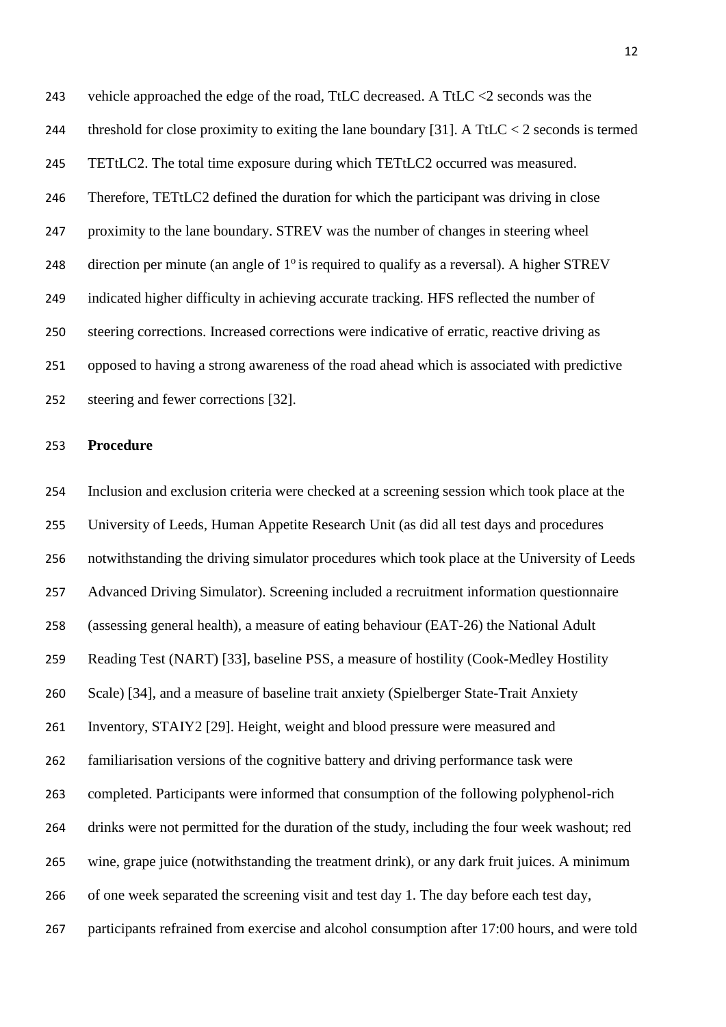vehicle approached the edge of the road, TtLC decreased. A TtLC <2 seconds was the 244 threshold for close proximity to exiting the lane boundary [31]. A TtLC < 2 seconds is termed TETtLC2. The total time exposure during which TETtLC2 occurred was measured. Therefore, TETtLC2 defined the duration for which the participant was driving in close proximity to the lane boundary. STREV was the number of changes in steering wheel 248 direction per minute (an angle of  $1^\circ$  is required to qualify as a reversal). A higher STREV indicated higher difficulty in achieving accurate tracking. HFS reflected the number of steering corrections. Increased corrections were indicative of erratic, reactive driving as opposed to having a strong awareness of the road ahead which is associated with predictive steering and fewer corrections [32].

#### **Procedure**

 Inclusion and exclusion criteria were checked at a screening session which took place at the University of Leeds, Human Appetite Research Unit (as did all test days and procedures notwithstanding the driving simulator procedures which took place at the University of Leeds Advanced Driving Simulator). Screening included a recruitment information questionnaire (assessing general health), a measure of eating behaviour (EAT-26) the National Adult Reading Test (NART) [33], baseline PSS, a measure of hostility (Cook-Medley Hostility Scale) [34], and a measure of baseline trait anxiety (Spielberger State-Trait Anxiety Inventory, STAIY2 [29]. Height, weight and blood pressure were measured and familiarisation versions of the cognitive battery and driving performance task were completed. Participants were informed that consumption of the following polyphenol-rich drinks were not permitted for the duration of the study, including the four week washout; red wine, grape juice (notwithstanding the treatment drink), or any dark fruit juices. A minimum of one week separated the screening visit and test day 1. The day before each test day, participants refrained from exercise and alcohol consumption after 17:00 hours, and were told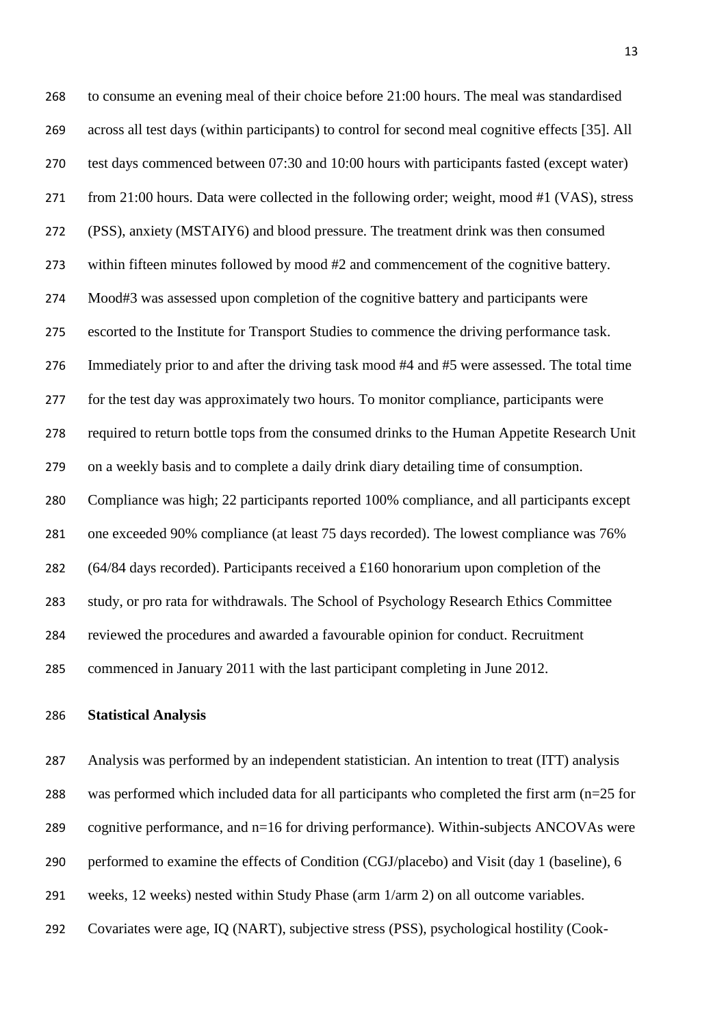to consume an evening meal of their choice before 21:00 hours. The meal was standardised across all test days (within participants) to control for second meal cognitive effects [35]. All test days commenced between 07:30 and 10:00 hours with participants fasted (except water) from 21:00 hours. Data were collected in the following order; weight, mood #1 (VAS), stress (PSS), anxiety (MSTAIY6) and blood pressure. The treatment drink was then consumed within fifteen minutes followed by mood #2 and commencement of the cognitive battery. Mood#3 was assessed upon completion of the cognitive battery and participants were escorted to the Institute for Transport Studies to commence the driving performance task. Immediately prior to and after the driving task mood #4 and #5 were assessed. The total time for the test day was approximately two hours. To monitor compliance, participants were required to return bottle tops from the consumed drinks to the Human Appetite Research Unit on a weekly basis and to complete a daily drink diary detailing time of consumption. Compliance was high; 22 participants reported 100% compliance, and all participants except one exceeded 90% compliance (at least 75 days recorded). The lowest compliance was 76% (64/84 days recorded). Participants received a £160 honorarium upon completion of the study, or pro rata for withdrawals. The School of Psychology Research Ethics Committee reviewed the procedures and awarded a favourable opinion for conduct. Recruitment commenced in January 2011 with the last participant completing in June 2012.

## **Statistical Analysis**

 Analysis was performed by an independent statistician. An intention to treat (ITT) analysis was performed which included data for all participants who completed the first arm (n=25 for cognitive performance, and n=16 for driving performance). Within-subjects ANCOVAs were performed to examine the effects of Condition (CGJ/placebo) and Visit (day 1 (baseline), 6

weeks, 12 weeks) nested within Study Phase (arm 1/arm 2) on all outcome variables.

Covariates were age, IQ (NART), subjective stress (PSS), psychological hostility (Cook-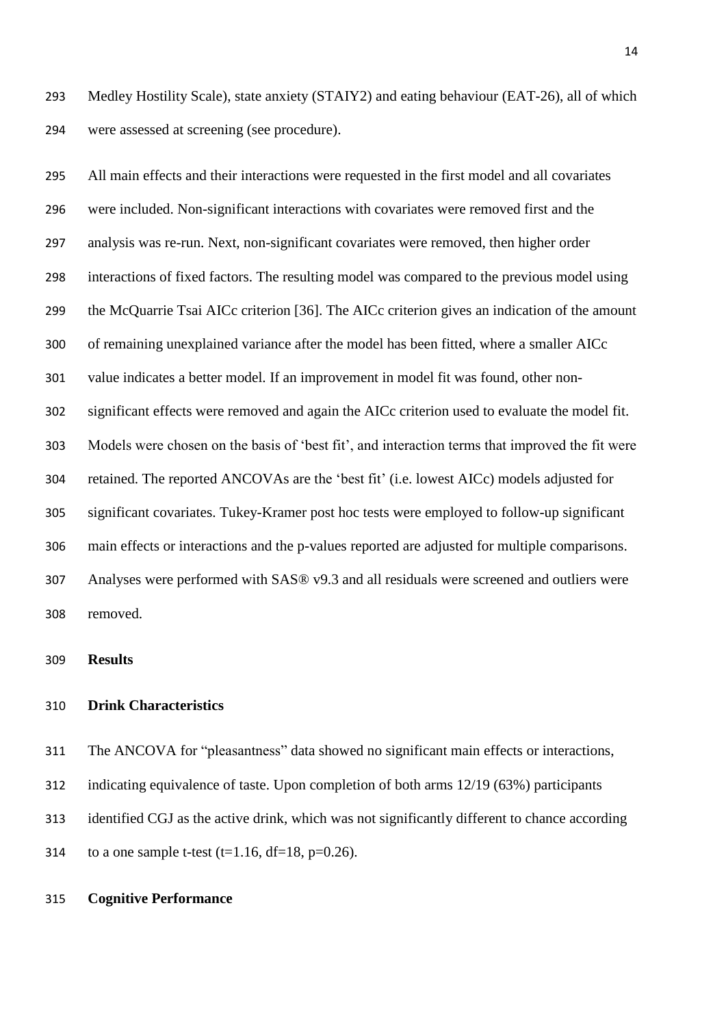Medley Hostility Scale), state anxiety (STAIY2) and eating behaviour (EAT-26), all of which were assessed at screening (see procedure).

 All main effects and their interactions were requested in the first model and all covariates were included. Non-significant interactions with covariates were removed first and the analysis was re-run. Next, non-significant covariates were removed, then higher order interactions of fixed factors. The resulting model was compared to the previous model using the McQuarrie Tsai AICc criterion [36]. The AICc criterion gives an indication of the amount of remaining unexplained variance after the model has been fitted, where a smaller AICc value indicates a better model. If an improvement in model fit was found, other non- significant effects were removed and again the AICc criterion used to evaluate the model fit. Models were chosen on the basis of 'best fit', and interaction terms that improved the fit were retained. The reported ANCOVAs are the 'best fit' (i.e. lowest AICc) models adjusted for significant covariates. Tukey-Kramer post hoc tests were employed to follow-up significant main effects or interactions and the p-values reported are adjusted for multiple comparisons. Analyses were performed with SAS® v9.3 and all residuals were screened and outliers were removed.

## **Results**

## **Drink Characteristics**

The ANCOVA for "pleasantness" data showed no significant main effects or interactions,

indicating equivalence of taste. Upon completion of both arms 12/19 (63%) participants

identified CGJ as the active drink, which was not significantly different to chance according

314 to a one sample t-test (t=1.16, df=18, p=0.26).

## **Cognitive Performance**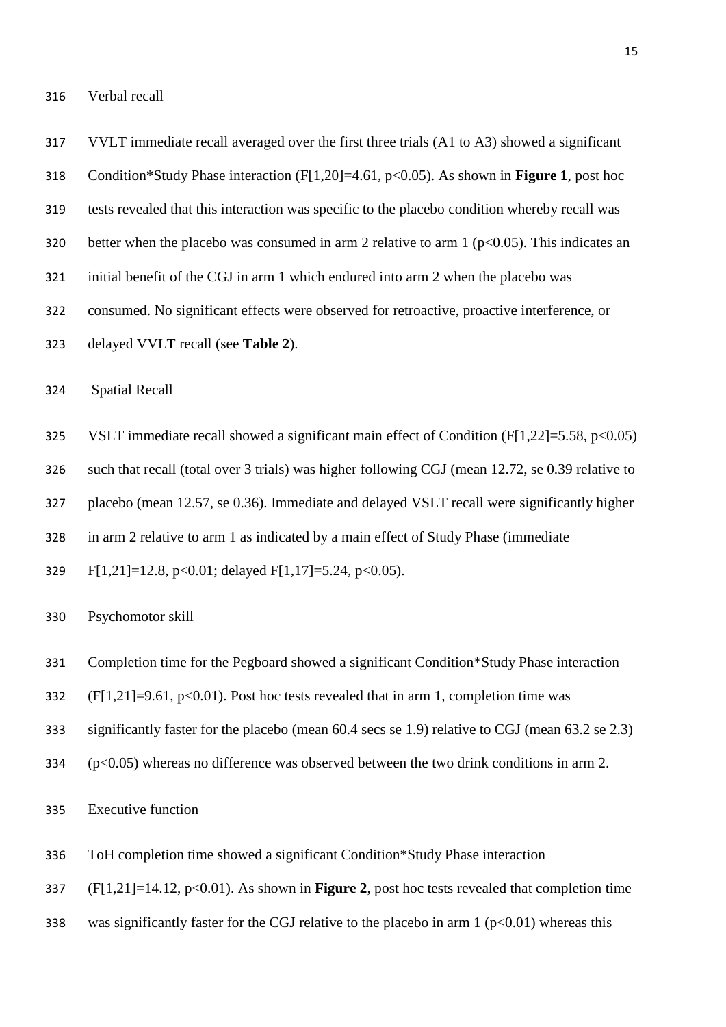VVLT immediate recall averaged over the first three trials (A1 to A3) showed a significant Condition\*Study Phase interaction (F[1,20]=4.61, p<0.05). As shown in **Figure 1**, post hoc tests revealed that this interaction was specific to the placebo condition whereby recall was 320 better when the placebo was consumed in arm 2 relative to arm 1 ( $p<0.05$ ). This indicates an initial benefit of the CGJ in arm 1 which endured into arm 2 when the placebo was consumed. No significant effects were observed for retroactive, proactive interference, or delayed VVLT recall (see **Table 2**). Spatial Recall VSLT immediate recall showed a significant main effect of Condition (F[1,22]=5.58, p<0.05) such that recall (total over 3 trials) was higher following CGJ (mean 12.72, se 0.39 relative to placebo (mean 12.57, se 0.36). Immediate and delayed VSLT recall were significantly higher in arm 2 relative to arm 1 as indicated by a main effect of Study Phase (immediate F[1,21]=12.8, p<0.01; delayed F[1,17]=5.24, p<0.05).

- Psychomotor skill
- Completion time for the Pegboard showed a significant Condition\*Study Phase interaction
- 332 (F[1,21]=9.61, p<0.01). Post hoc tests revealed that in arm 1, completion time was
- significantly faster for the placebo (mean 60.4 secs se 1.9) relative to CGJ (mean 63.2 se 2.3)
- (p<0.05) whereas no difference was observed between the two drink conditions in arm 2.
- Executive function
- ToH completion time showed a significant Condition\*Study Phase interaction
- (F[1,21]=14.12, p<0.01). As shown in **Figure 2**, post hoc tests revealed that completion time
- 338 was significantly faster for the CGJ relative to the placebo in arm 1 ( $p<0.01$ ) whereas this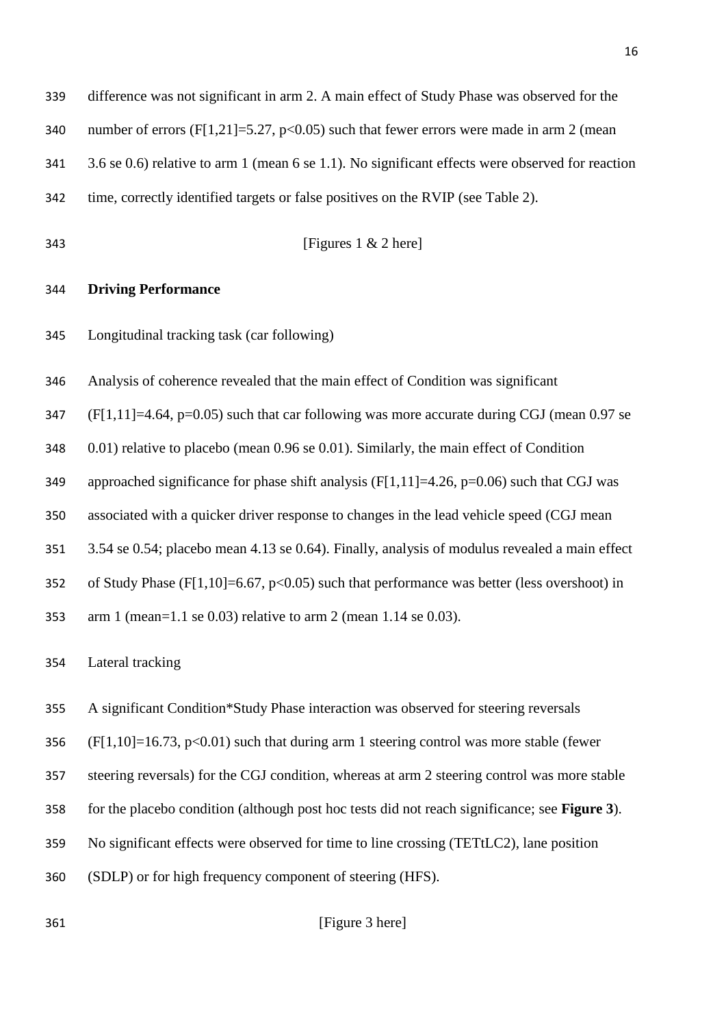| 339 | difference was not significant in arm 2. A main effect of Study Phase was observed for the         |
|-----|----------------------------------------------------------------------------------------------------|
| 340 | number of errors (F[1,21]=5.27, p<0.05) such that fewer errors were made in arm 2 (mean            |
| 341 | 3.6 se 0.6) relative to arm 1 (mean 6 se 1.1). No significant effects were observed for reaction   |
| 342 | time, correctly identified targets or false positives on the RVIP (see Table 2).                   |
| 343 | [Figures $1 \& 2 \text{ here}$ ]                                                                   |
| 344 | <b>Driving Performance</b>                                                                         |
| 345 | Longitudinal tracking task (car following)                                                         |
| 346 | Analysis of coherence revealed that the main effect of Condition was significant                   |
| 347 | $(F[1,11] = 4.64, p=0.05)$ such that car following was more accurate during CGJ (mean 0.97 se      |
| 348 | 0.01) relative to placebo (mean 0.96 se 0.01). Similarly, the main effect of Condition             |
| 349 | approached significance for phase shift analysis ( $F[1,11] = 4.26$ , $p=0.06$ ) such that CGJ was |
| 350 | associated with a quicker driver response to changes in the lead vehicle speed (CGJ mean           |
| 351 | 3.54 se 0.54; placebo mean 4.13 se 0.64). Finally, analysis of modulus revealed a main effect      |
| 352 | of Study Phase (F[1,10]=6.67, $p<0.05$ ) such that performance was better (less overshoot) in      |
| 353 | arm 1 (mean= $1.1$ se 0.03) relative to arm 2 (mean $1.14$ se 0.03).                               |
| 354 | Lateral tracking                                                                                   |
| 355 | A significant Condition*Study Phase interaction was observed for steering reversals                |
| 356 | $(F[1,10]=16.73, p<0.01)$ such that during arm 1 steering control was more stable (fewer           |
| 357 | steering reversals) for the CGJ condition, whereas at arm 2 steering control was more stable       |
| 358 | for the placebo condition (although post hoc tests did not reach significance; see Figure 3).      |
| 359 | No significant effects were observed for time to line crossing (TETtLC2), lane position            |
| 360 | (SDLP) or for high frequency component of steering (HFS).                                          |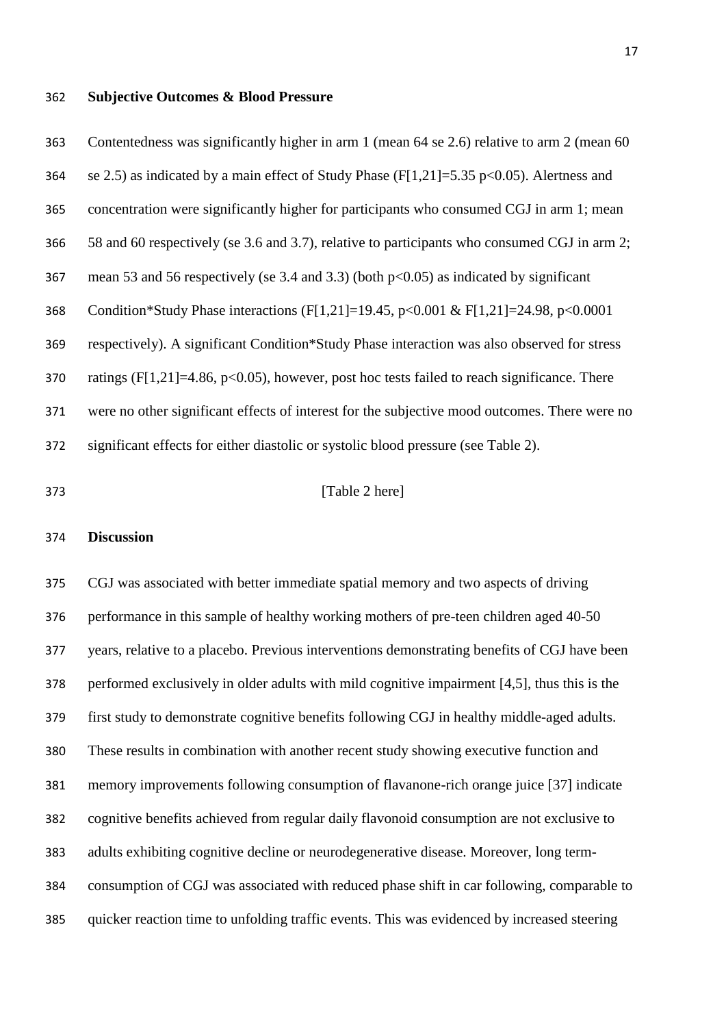#### **Subjective Outcomes & Blood Pressure**

 Contentedness was significantly higher in arm 1 (mean 64 se 2.6) relative to arm 2 (mean 60 364 se 2.5) as indicated by a main effect of Study Phase (F[1,21]=5.35 p<0.05). Alertness and concentration were significantly higher for participants who consumed CGJ in arm 1; mean 58 and 60 respectively (se 3.6 and 3.7), relative to participants who consumed CGJ in arm 2; mean 53 and 56 respectively (se 3.4 and 3.3) (both p<0.05) as indicated by significant Condition\*Study Phase interactions (F[1,21]=19.45, p<0.001 & F[1,21]=24.98, p<0.0001 respectively). A significant Condition\*Study Phase interaction was also observed for stress 370 ratings (F[1,21]=4.86, p<0.05), however, post hoc tests failed to reach significance. There were no other significant effects of interest for the subjective mood outcomes. There were no significant effects for either diastolic or systolic blood pressure (see Table 2).

## **[Table 2 here]**

#### **Discussion**

 CGJ was associated with better immediate spatial memory and two aspects of driving performance in this sample of healthy working mothers of pre-teen children aged 40-50 years, relative to a placebo. Previous interventions demonstrating benefits of CGJ have been performed exclusively in older adults with mild cognitive impairment [4,5], thus this is the first study to demonstrate cognitive benefits following CGJ in healthy middle-aged adults. These results in combination with another recent study showing executive function and memory improvements following consumption of flavanone-rich orange juice [37] indicate cognitive benefits achieved from regular daily flavonoid consumption are not exclusive to adults exhibiting cognitive decline or neurodegenerative disease. Moreover, long term- consumption of CGJ was associated with reduced phase shift in car following, comparable to quicker reaction time to unfolding traffic events. This was evidenced by increased steering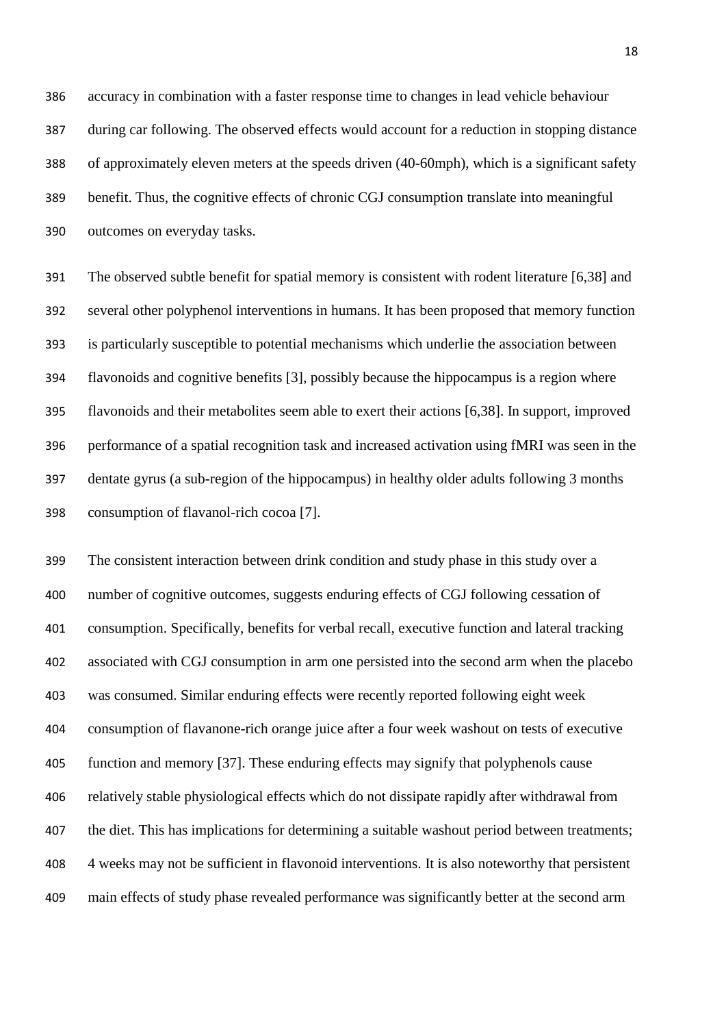accuracy in combination with a faster response time to changes in lead vehicle behaviour during car following. The observed effects would account for a reduction in stopping distance of approximately eleven meters at the speeds driven (40-60mph), which is a significant safety benefit. Thus, the cognitive effects of chronic CGJ consumption translate into meaningful outcomes on everyday tasks.

 The observed subtle benefit for spatial memory is consistent with rodent literature [6,38] and several other polyphenol interventions in humans. It has been proposed that memory function is particularly susceptible to potential mechanisms which underlie the association between flavonoids and cognitive benefits [3], possibly because the hippocampus is a region where flavonoids and their metabolites seem able to exert their actions [6,38]. In support, improved performance of a spatial recognition task and increased activation using fMRI was seen in the dentate gyrus (a sub-region of the hippocampus) in healthy older adults following 3 months consumption of flavanol-rich cocoa [7].

 The consistent interaction between drink condition and study phase in this study over a number of cognitive outcomes, suggests enduring effects of CGJ following cessation of consumption. Specifically, benefits for verbal recall, executive function and lateral tracking associated with CGJ consumption in arm one persisted into the second arm when the placebo was consumed. Similar enduring effects were recently reported following eight week consumption of flavanone-rich orange juice after a four week washout on tests of executive function and memory [37]. These enduring effects may signify that polyphenols cause relatively stable physiological effects which do not dissipate rapidly after withdrawal from 407 the diet. This has implications for determining a suitable washout period between treatments; 4 weeks may not be sufficient in flavonoid interventions. It is also noteworthy that persistent main effects of study phase revealed performance was significantly better at the second arm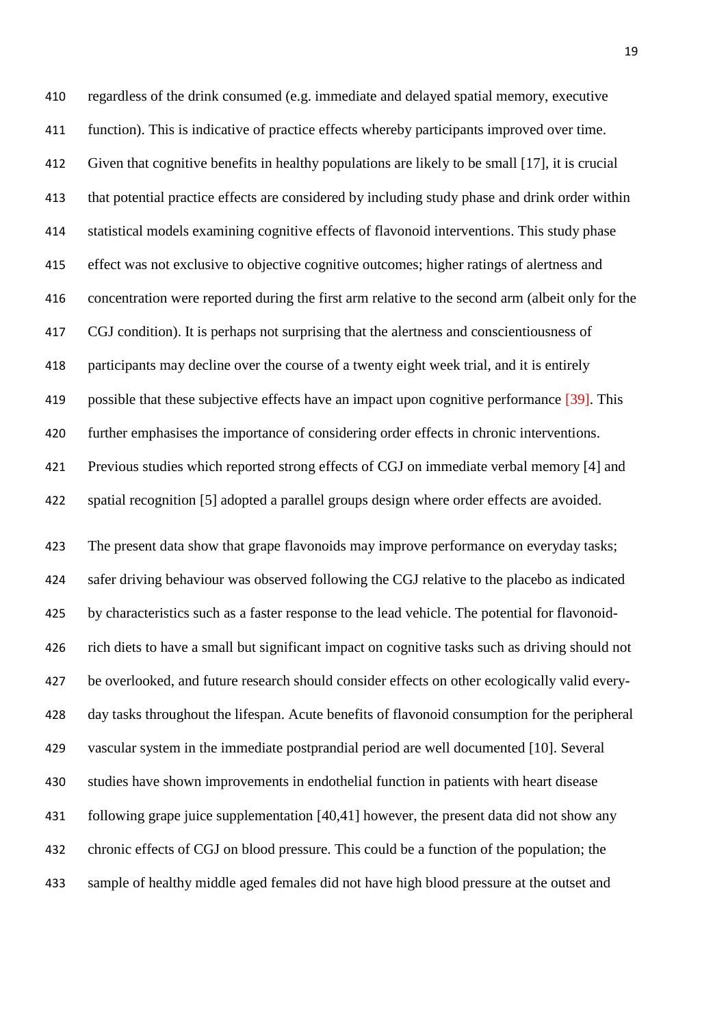regardless of the drink consumed (e.g. immediate and delayed spatial memory, executive function). This is indicative of practice effects whereby participants improved over time. Given that cognitive benefits in healthy populations are likely to be small [17], it is crucial that potential practice effects are considered by including study phase and drink order within statistical models examining cognitive effects of flavonoid interventions. This study phase effect was not exclusive to objective cognitive outcomes; higher ratings of alertness and concentration were reported during the first arm relative to the second arm (albeit only for the CGJ condition). It is perhaps not surprising that the alertness and conscientiousness of participants may decline over the course of a twenty eight week trial, and it is entirely possible that these subjective effects have an impact upon cognitive performance [39]. This further emphasises the importance of considering order effects in chronic interventions. Previous studies which reported strong effects of CGJ on immediate verbal memory [4] and spatial recognition [5] adopted a parallel groups design where order effects are avoided.

 The present data show that grape flavonoids may improve performance on everyday tasks; safer driving behaviour was observed following the CGJ relative to the placebo as indicated by characteristics such as a faster response to the lead vehicle. The potential for flavonoid- rich diets to have a small but significant impact on cognitive tasks such as driving should not be overlooked, and future research should consider effects on other ecologically valid every- day tasks throughout the lifespan. Acute benefits of flavonoid consumption for the peripheral vascular system in the immediate postprandial period are well documented [10]. Several studies have shown improvements in endothelial function in patients with heart disease following grape juice supplementation [40,41] however, the present data did not show any chronic effects of CGJ on blood pressure. This could be a function of the population; the sample of healthy middle aged females did not have high blood pressure at the outset and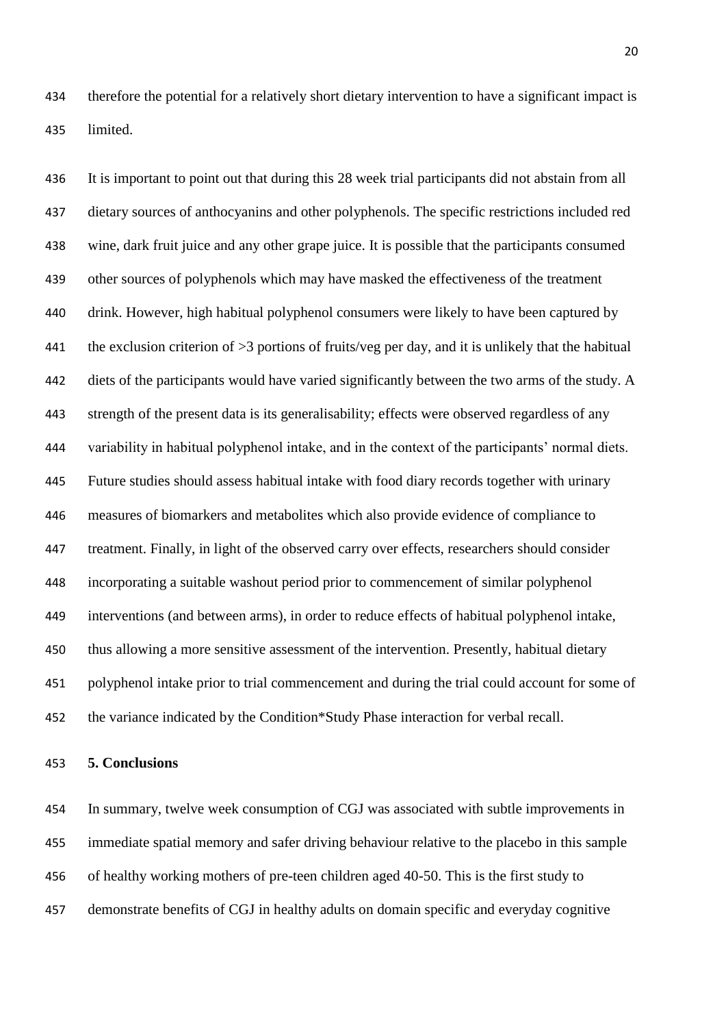therefore the potential for a relatively short dietary intervention to have a significant impact is limited.

 It is important to point out that during this 28 week trial participants did not abstain from all dietary sources of anthocyanins and other polyphenols. The specific restrictions included red wine, dark fruit juice and any other grape juice. It is possible that the participants consumed other sources of polyphenols which may have masked the effectiveness of the treatment drink. However, high habitual polyphenol consumers were likely to have been captured by the exclusion criterion of >3 portions of fruits/veg per day, and it is unlikely that the habitual diets of the participants would have varied significantly between the two arms of the study. A strength of the present data is its generalisability; effects were observed regardless of any variability in habitual polyphenol intake, and in the context of the participants' normal diets. Future studies should assess habitual intake with food diary records together with urinary measures of biomarkers and metabolites which also provide evidence of compliance to treatment. Finally, in light of the observed carry over effects, researchers should consider incorporating a suitable washout period prior to commencement of similar polyphenol interventions (and between arms), in order to reduce effects of habitual polyphenol intake, thus allowing a more sensitive assessment of the intervention. Presently, habitual dietary polyphenol intake prior to trial commencement and during the trial could account for some of the variance indicated by the Condition\*Study Phase interaction for verbal recall.

#### **5. Conclusions**

 In summary, twelve week consumption of CGJ was associated with subtle improvements in immediate spatial memory and safer driving behaviour relative to the placebo in this sample of healthy working mothers of pre-teen children aged 40-50. This is the first study to demonstrate benefits of CGJ in healthy adults on domain specific and everyday cognitive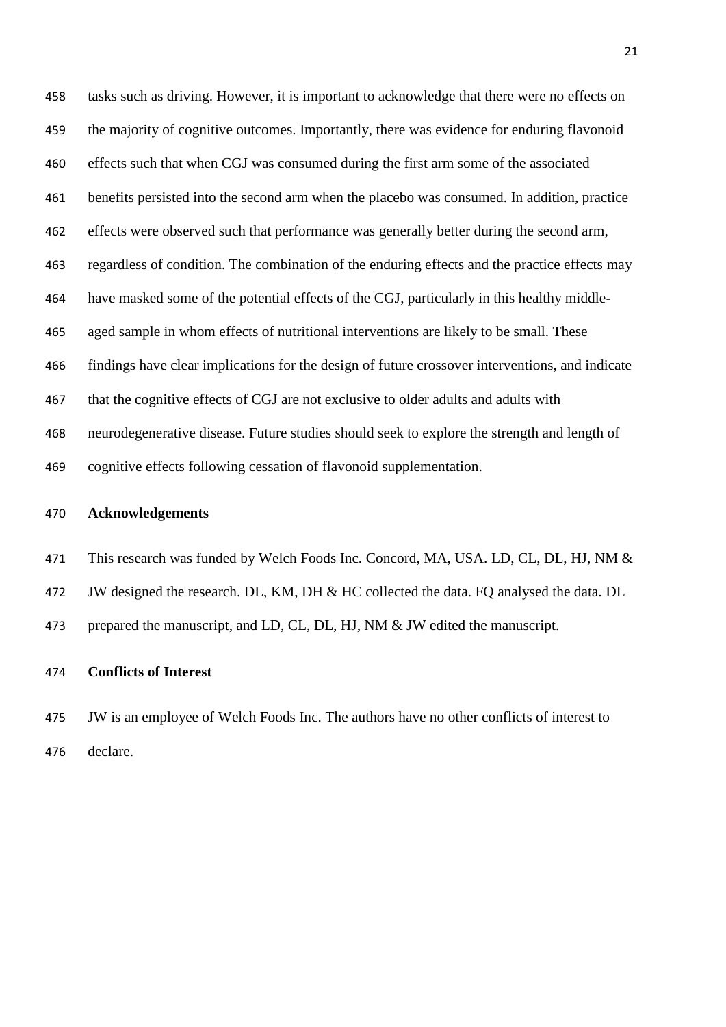tasks such as driving. However, it is important to acknowledge that there were no effects on the majority of cognitive outcomes. Importantly, there was evidence for enduring flavonoid effects such that when CGJ was consumed during the first arm some of the associated benefits persisted into the second arm when the placebo was consumed. In addition, practice effects were observed such that performance was generally better during the second arm, regardless of condition. The combination of the enduring effects and the practice effects may have masked some of the potential effects of the CGJ, particularly in this healthy middle- aged sample in whom effects of nutritional interventions are likely to be small. These findings have clear implications for the design of future crossover interventions, and indicate that the cognitive effects of CGJ are not exclusive to older adults and adults with neurodegenerative disease. Future studies should seek to explore the strength and length of cognitive effects following cessation of flavonoid supplementation.

## **Acknowledgements**

471 This research was funded by Welch Foods Inc. Concord, MA, USA. LD, CL, DL, HJ, NM & JW designed the research. DL, KM, DH & HC collected the data. FQ analysed the data. DL prepared the manuscript, and LD, CL, DL, HJ, NM & JW edited the manuscript.

## **Conflicts of Interest**

 JW is an employee of Welch Foods Inc. The authors have no other conflicts of interest to declare.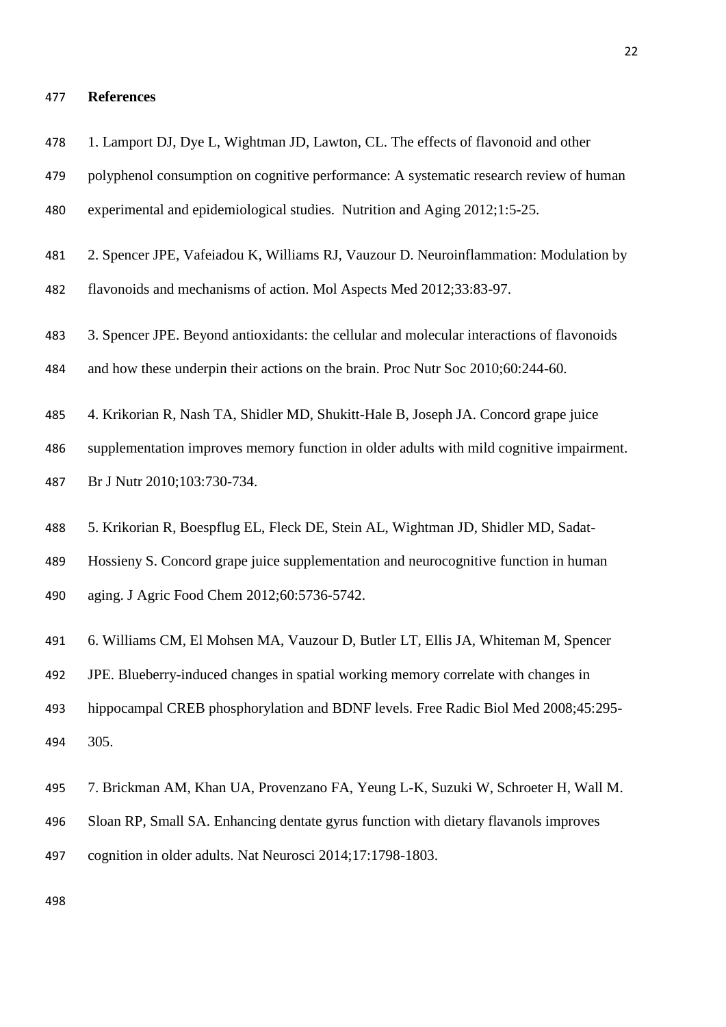# **References**

| 478 | 1. Lamport DJ, Dye L, Wightman JD, Lawton, CL. The effects of flavonoid and other          |
|-----|--------------------------------------------------------------------------------------------|
| 479 | polyphenol consumption on cognitive performance: A systematic research review of human     |
| 480 | experimental and epidemiological studies. Nutrition and Aging 2012;1:5-25.                 |
| 481 | 2. Spencer JPE, Vafeiadou K, Williams RJ, Vauzour D. Neuroinflammation: Modulation by      |
| 482 | flavonoids and mechanisms of action. Mol Aspects Med 2012;33:83-97.                        |
| 483 | 3. Spencer JPE. Beyond antioxidants: the cellular and molecular interactions of flavonoids |
| 484 | and how these underpin their actions on the brain. Proc Nutr Soc 2010;60:244-60.           |
| 485 | 4. Krikorian R, Nash TA, Shidler MD, Shukitt-Hale B, Joseph JA. Concord grape juice        |
| 486 | supplementation improves memory function in older adults with mild cognitive impairment.   |
| 487 | Br J Nutr 2010;103:730-734.                                                                |
| 488 | 5. Krikorian R, Boespflug EL, Fleck DE, Stein AL, Wightman JD, Shidler MD, Sadat-          |
| 489 | Hossieny S. Concord grape juice supplementation and neurocognitive function in human       |
| 490 | aging. J Agric Food Chem 2012;60:5736-5742.                                                |
| 491 | 6. Williams CM, El Mohsen MA, Vauzour D, Butler LT, Ellis JA, Whiteman M, Spencer          |
| 492 | JPE. Blueberry-induced changes in spatial working memory correlate with changes in         |
| 493 | hippocampal CREB phosphorylation and BDNF levels. Free Radic Biol Med 2008;45:295-         |
| 494 | 305.                                                                                       |
| 495 | 7. Brickman AM, Khan UA, Provenzano FA, Yeung L-K, Suzuki W, Schroeter H, Wall M.          |
| 496 | Sloan RP, Small SA. Enhancing dentate gyrus function with dietary flavanols improves       |
| 497 | cognition in older adults. Nat Neurosci 2014;17:1798-1803.                                 |
|     |                                                                                            |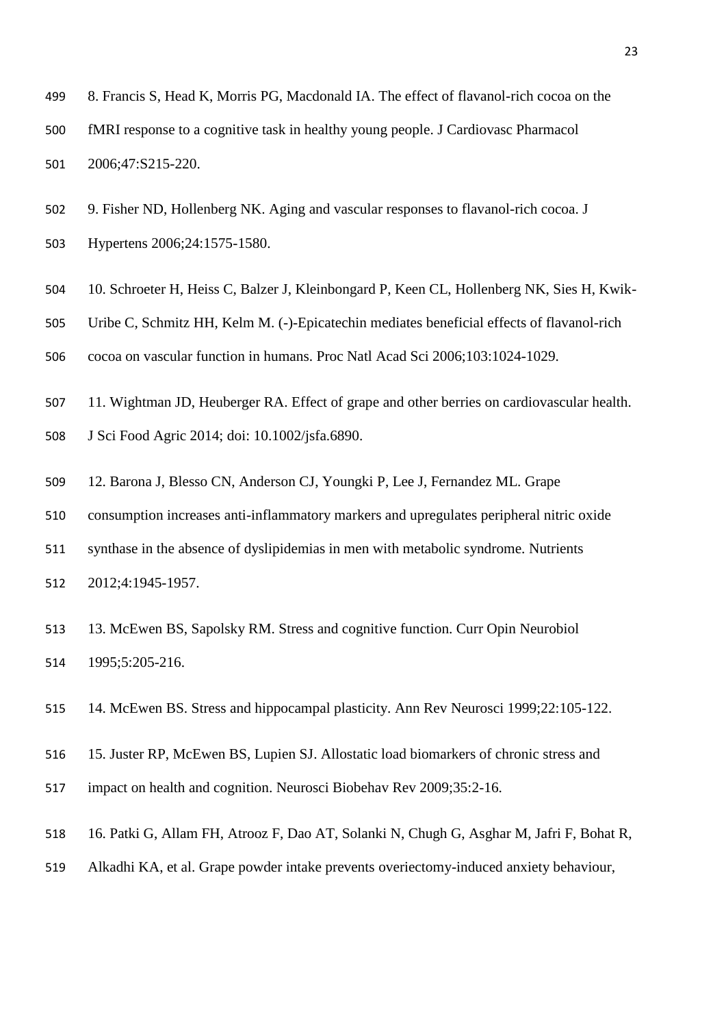- 8. Francis S, Head K, Morris PG, Macdonald IA. The effect of flavanol-rich cocoa on the fMRI response to a cognitive task in healthy young people. J Cardiovasc Pharmacol 2006;47:S215-220.
- 9. Fisher ND, Hollenberg NK. Aging and vascular responses to flavanol-rich cocoa. J
- Hypertens 2006;24:1575-1580.
- 10. Schroeter H, Heiss C, Balzer J, Kleinbongard P, Keen CL, Hollenberg NK, Sies H, Kwik-
- Uribe C, Schmitz HH, Kelm M. (-)-Epicatechin mediates beneficial effects of flavanol-rich
- cocoa on vascular function in humans. Proc Natl Acad Sci 2006;103:1024-1029.
- 11. Wightman JD, Heuberger RA. Effect of grape and other berries on cardiovascular health.
- J Sci Food Agric 2014; doi: 10.1002/jsfa.6890.
- 12. Barona J, Blesso CN, Anderson CJ, Youngki P, Lee J, Fernandez ML. Grape
- consumption increases anti-inflammatory markers and upregulates peripheral nitric oxide
- synthase in the absence of dyslipidemias in men with metabolic syndrome. Nutrients
- 2012;4:1945-1957.
- 13. McEwen BS, Sapolsky RM. Stress and cognitive function. Curr Opin Neurobiol 1995;5:205-216.
- 14. McEwen BS. Stress and hippocampal plasticity. Ann Rev Neurosci 1999;22:105-122.
- 15. Juster RP, McEwen BS, Lupien SJ. Allostatic load biomarkers of chronic stress and
- impact on health and cognition. Neurosci Biobehav Rev 2009;35:2-16.
- 16. Patki G, Allam FH, Atrooz F, Dao AT, Solanki N, Chugh G, Asghar M, Jafri F, Bohat R,
- Alkadhi KA, et al. Grape powder intake prevents overiectomy-induced anxiety behaviour,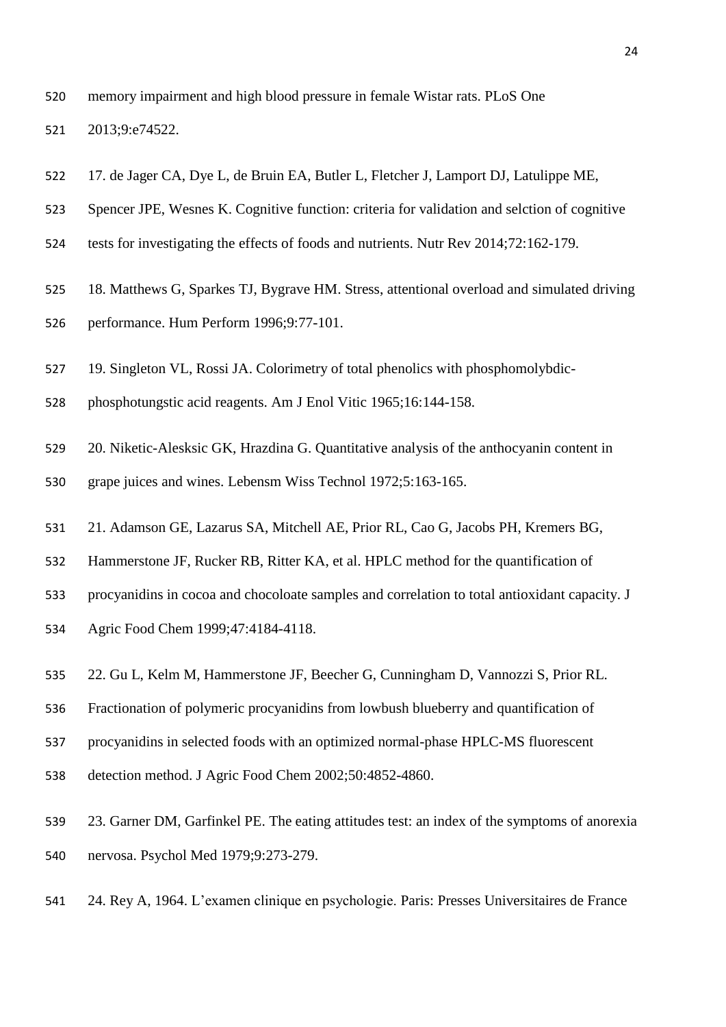memory impairment and high blood pressure in female Wistar rats. PLoS One

2013;9:e74522.

- 17. de Jager CA, Dye L, de Bruin EA, Butler L, Fletcher J, Lamport DJ, Latulippe ME,
- Spencer JPE, Wesnes K. Cognitive function: criteria for validation and selction of cognitive
- tests for investigating the effects of foods and nutrients. Nutr Rev 2014;72:162-179.
- 18. Matthews G, Sparkes TJ, Bygrave HM. Stress, attentional overload and simulated driving performance. Hum Perform 1996;9:77-101.
- 19. Singleton VL, Rossi JA. Colorimetry of total phenolics with phosphomolybdic-
- phosphotungstic acid reagents. Am J Enol Vitic 1965;16:144-158.
- 20. Niketic-Alesksic GK, Hrazdina G. Quantitative analysis of the anthocyanin content in
- grape juices and wines. Lebensm Wiss Technol 1972;5:163-165.
- 21. Adamson GE, Lazarus SA, Mitchell AE, Prior RL, Cao G, Jacobs PH, Kremers BG,
- Hammerstone JF, Rucker RB, Ritter KA, et al. HPLC method for the quantification of
- procyanidins in cocoa and chocoloate samples and correlation to total antioxidant capacity. J
- Agric Food Chem 1999;47:4184-4118.
- 22. Gu L, Kelm M, Hammerstone JF, Beecher G, Cunningham D, Vannozzi S, Prior RL.
- Fractionation of polymeric procyanidins from lowbush blueberry and quantification of
- procyanidins in selected foods with an optimized normal-phase HPLC-MS fluorescent
- detection method. J Agric Food Chem 2002;50:4852-4860.
- 23. Garner DM, Garfinkel PE. The eating attitudes test: an index of the symptoms of anorexia nervosa. Psychol Med 1979;9:273-279.
- 24. Rey A, 1964. L'examen clinique en psychologie. Paris: Presses Universitaires de France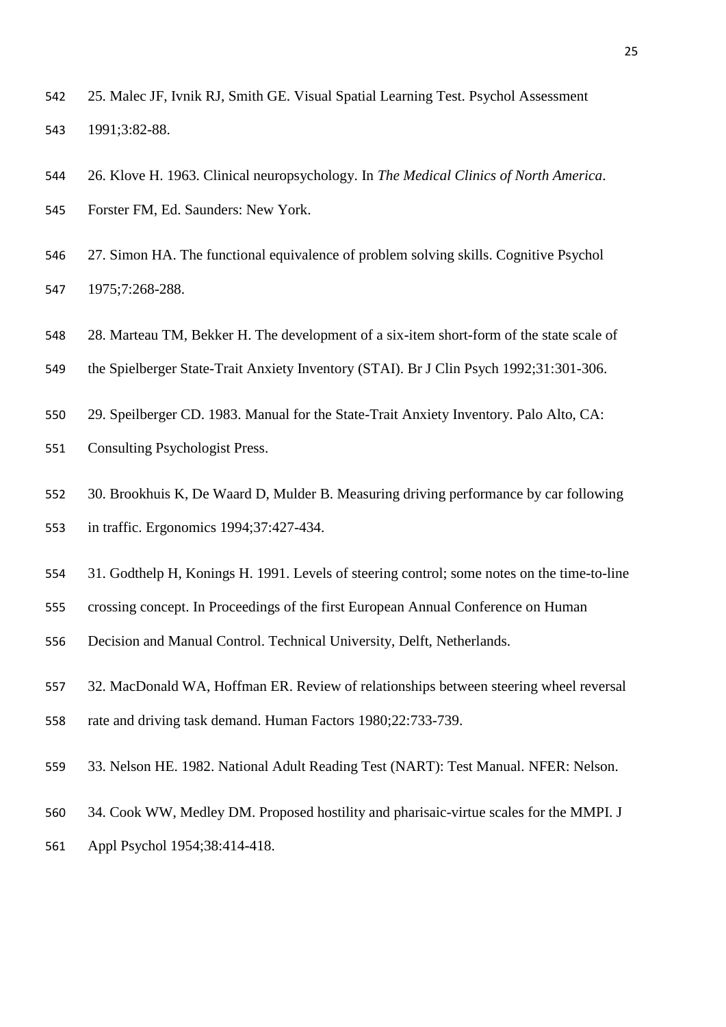- 25. Malec JF, Ivnik RJ, Smith GE. Visual Spatial Learning Test. Psychol Assessment 1991;3:82-88.
- 26. Klove H. 1963. Clinical neuropsychology. In *The Medical Clinics of North America*.
- Forster FM, Ed. Saunders: New York.
- 27. Simon HA. The functional equivalence of problem solving skills. Cognitive Psychol 1975;7:268-288.
- 28. Marteau TM, Bekker H. The development of a six-item short-form of the state scale of
- the Spielberger State-Trait Anxiety Inventory (STAI). Br J Clin Psych 1992;31:301-306.
- 29. Speilberger CD. 1983. Manual for the State-Trait Anxiety Inventory. Palo Alto, CA: Consulting Psychologist Press.
- 30. Brookhuis K, De Waard D, Mulder B. Measuring driving performance by car following in traffic. Ergonomics 1994;37:427-434.
- 31. Godthelp H, Konings H. 1991. Levels of steering control; some notes on the time-to-line
- crossing concept. In Proceedings of the first European Annual Conference on Human
- Decision and Manual Control. Technical University, Delft, Netherlands.
- 32. MacDonald WA, Hoffman ER. Review of relationships between steering wheel reversal
- rate and driving task demand. Human Factors 1980;22:733-739.
- 33. Nelson HE. 1982. National Adult Reading Test (NART): Test Manual. NFER: Nelson.
- 34. Cook WW, Medley DM. Proposed hostility and pharisaic-virtue scales for the MMPI. J
- Appl Psychol 1954;38:414-418.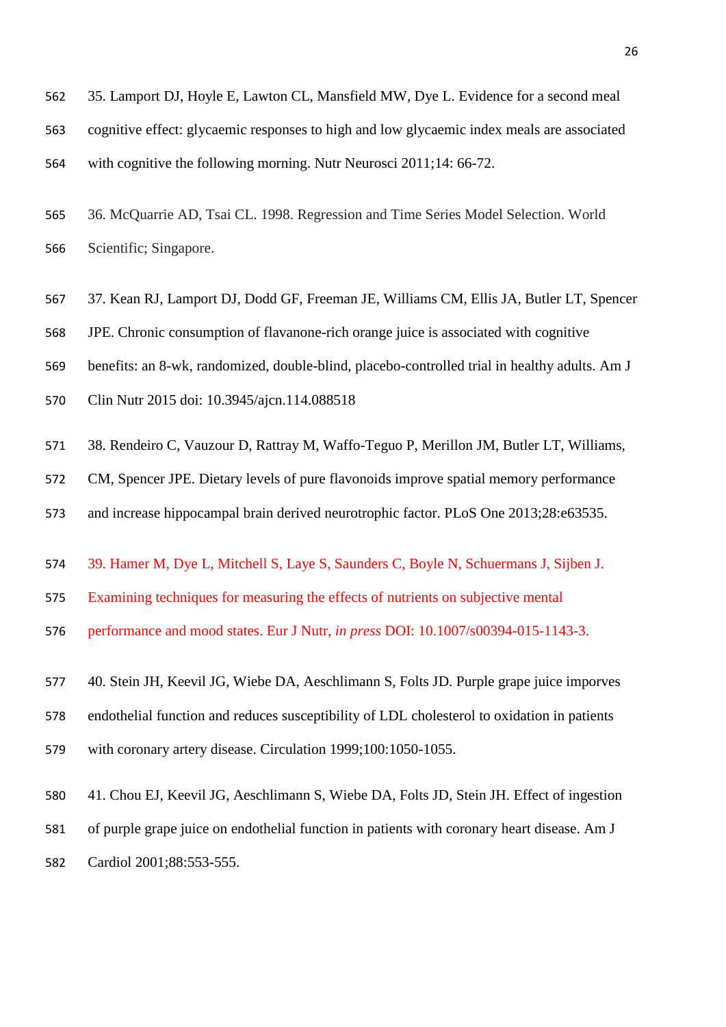35. Lamport DJ, Hoyle E, Lawton CL, Mansfield MW, Dye L. Evidence for a second meal cognitive effect: glycaemic responses to high and low glycaemic index meals are associated with cognitive the following morning. Nutr Neurosci 2011;14: 66-72.

 36. McQuarrie AD, Tsai CL. 1998. Regression and Time Series Model Selection. World Scientific; Singapore.

37. Kean RJ, Lamport DJ, Dodd GF, Freeman JE, Williams CM, Ellis JA, Butler LT, Spencer

JPE. Chronic consumption of flavanone-rich orange juice is associated with cognitive

benefits: an 8-wk, randomized, double-blind, placebo-controlled trial in healthy adults. Am J

Clin Nutr 2015 doi: 10.3945/ajcn.114.088518

38. Rendeiro C, Vauzour D, Rattray M, Waffo-Teguo P, Merillon JM, Butler LT, Williams,

CM, Spencer JPE. Dietary levels of pure flavonoids improve spatial memory performance

and increase hippocampal brain derived neurotrophic factor. PLoS One 2013;28:e63535.

39. Hamer M, Dye L, Mitchell S, Laye S, Saunders C, Boyle N, Schuermans J, Sijben J.

Examining techniques for measuring the effects of nutrients on subjective mental

performance and mood states. Eur J Nutr, *in press* DOI: 10.1007/s00394-015-1143-3.

40. Stein JH, Keevil JG, Wiebe DA, Aeschlimann S, Folts JD. Purple grape juice imporves

endothelial function and reduces susceptibility of LDL cholesterol to oxidation in patients

with coronary artery disease. Circulation 1999;100:1050-1055.

 41. Chou EJ, Keevil JG, Aeschlimann S, Wiebe DA, Folts JD, Stein JH. Effect of ingestion of purple grape juice on endothelial function in patients with coronary heart disease. Am J Cardiol 2001;88:553-555.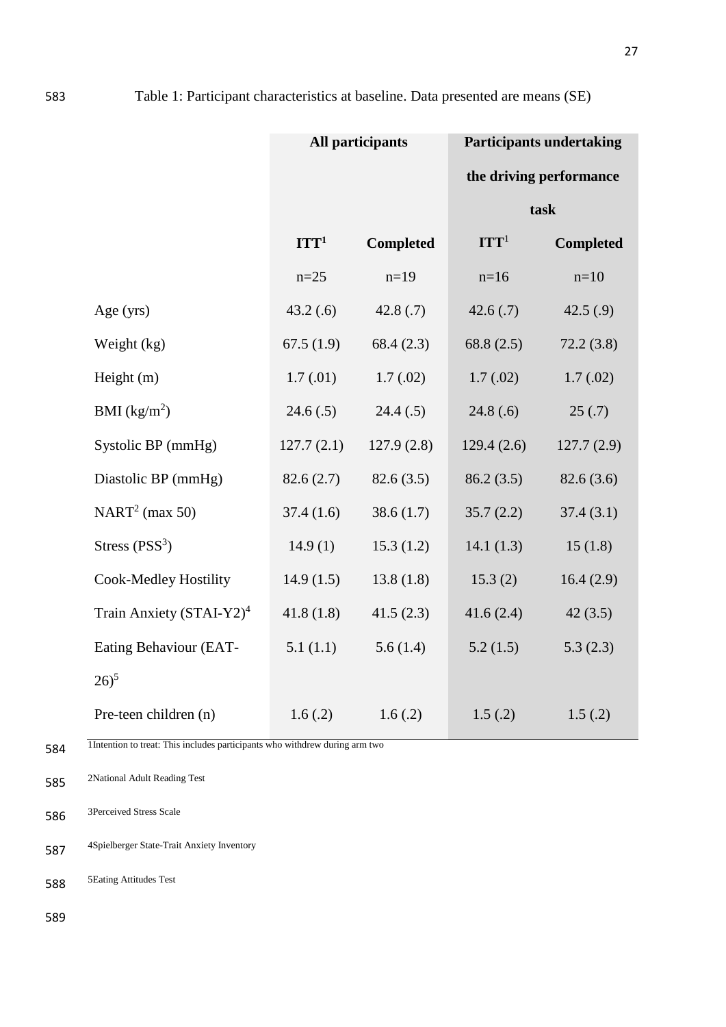|                                      | All participants |                  | <b>Participants undertaking</b> |                  |  |  |
|--------------------------------------|------------------|------------------|---------------------------------|------------------|--|--|
|                                      |                  |                  | the driving performance         |                  |  |  |
|                                      |                  |                  | task                            |                  |  |  |
|                                      | ITT <sup>1</sup> | <b>Completed</b> | ITT <sup>1</sup>                | <b>Completed</b> |  |  |
|                                      | $n=25$           | $n=19$           | $n=16$                          | $n=10$           |  |  |
| Age (yrs)                            | 43.2(0.6)        | 42.8(.7)         | 42.6(.7)                        | 42.5(.9)         |  |  |
| Weight (kg)                          | 67.5(1.9)        | 68.4(2.3)        | 68.8(2.5)                       | 72.2(3.8)        |  |  |
| Height $(m)$                         | 1.7(01)          | 1.7(02)          | 1.7(02)                         | 1.7(02)          |  |  |
| BMI $(kg/m^2)$                       | 24.6(.5)         | 24.4(.5)         | 24.8(.6)                        | 25(.7)           |  |  |
| Systolic BP (mmHg)                   | 127.7(2.1)       | 127.9(2.8)       | 129.4(2.6)                      | 127.7(2.9)       |  |  |
| Diastolic BP (mmHg)                  | 82.6(2.7)        | 82.6(3.5)        | 86.2(3.5)                       | 82.6(3.6)        |  |  |
| NART <sup>2</sup> (max 50)           | 37.4(1.6)        | 38.6(1.7)        | 35.7(2.2)                       | 37.4(3.1)        |  |  |
| Stress $(PSS^3)$                     | 14.9(1)          | 15.3(1.2)        | 14.1(1.3)                       | 15(1.8)          |  |  |
| <b>Cook-Medley Hostility</b>         | 14.9(1.5)        | 13.8(1.8)        | 15.3(2)                         | 16.4(2.9)        |  |  |
| Train Anxiety (STAI-Y2) <sup>4</sup> | 41.8(1.8)        | 41.5(2.3)        | 41.6(2.4)                       | 42(3.5)          |  |  |
| Eating Behaviour (EAT-               | 5.1(1.1)         | 5.6(1.4)         | 5.2(1.5)                        | 5.3(2.3)         |  |  |
| $26)^5$                              |                  |                  |                                 |                  |  |  |
| Pre-teen children (n)                | 1.6(.2)          | 1.6(.2)          | 1.5(0.2)                        | 1.5(.2)          |  |  |

1Intention to treat: This includes participants who withdrew during arm two

585 2National Adult Reading Test

586 <sup>3Perceived</sup> Stress Scale

4Spielberger State-Trait Anxiety Inventory 587

588 5Eating Attitudes Test

589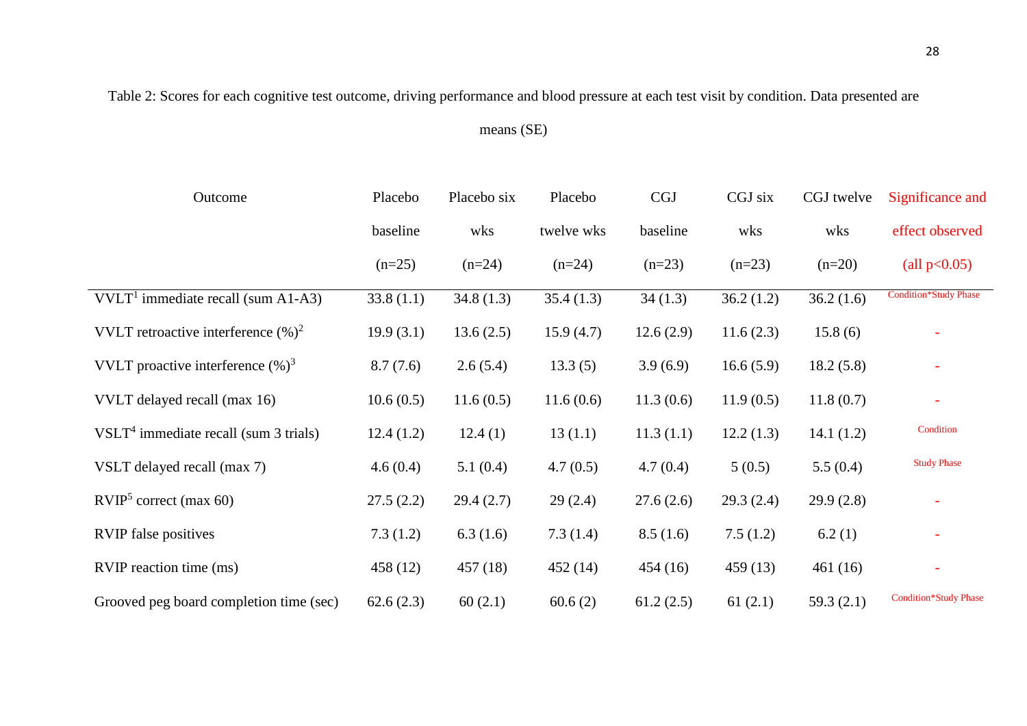Table 2: Scores for each cognitive test outcome, driving performance and blood pressure at each test visit by condition. Data presented are

means (SE)

| Outcome                                 | Placebo   | Placebo six | Placebo    | CGJ       | CGJ six   | CGJ twelve | Significance and             |
|-----------------------------------------|-----------|-------------|------------|-----------|-----------|------------|------------------------------|
|                                         | baseline  | wks         | twelve wks | baseline  | wks       | wks        | effect observed              |
|                                         | $(n=25)$  | $(n=24)$    | $(n=24)$   | $(n=23)$  | $(n=23)$  | $(n=20)$   | (all $p<0.05$ )              |
| $VVLT1$ immediate recall (sum A1-A3)    | 33.8(1.1) | 34.8(1.3)   | 35.4(1.3)  | 34(1.3)   | 36.2(1.2) | 36.2(1.6)  | <b>Condition*Study Phase</b> |
| VVLT retroactive interference $(\%)^2$  | 19.9(3.1) | 13.6(2.5)   | 15.9(4.7)  | 12.6(2.9) | 11.6(2.3) | 15.8(6)    |                              |
| VVLT proactive interference $(\%)^3$    | 8.7(7.6)  | 2.6(5.4)    | 13.3(5)    | 3.9(6.9)  | 16.6(5.9) | 18.2(5.8)  |                              |
| VVLT delayed recall (max 16)            | 10.6(0.5) | 11.6(0.5)   | 11.6(0.6)  | 11.3(0.6) | 11.9(0.5) | 11.8(0.7)  |                              |
| $VSLT4$ immediate recall (sum 3 trials) | 12.4(1.2) | 12.4(1)     | 13(1.1)    | 11.3(1.1) | 12.2(1.3) | 14.1(1.2)  | Condition                    |
| VSLT delayed recall (max 7)             | 4.6(0.4)  | 5.1(0.4)    | 4.7(0.5)   | 4.7(0.4)  | 5(0.5)    | 5.5(0.4)   | <b>Study Phase</b>           |
| RVIP <sup>5</sup> correct (max 60)      | 27.5(2.2) | 29.4(2.7)   | 29(2.4)    | 27.6(2.6) | 29.3(2.4) | 29.9(2.8)  |                              |
| <b>RVIP</b> false positives             | 7.3(1.2)  | 6.3(1.6)    | 7.3(1.4)   | 8.5(1.6)  | 7.5(1.2)  | 6.2(1)     | $\overline{\phantom{a}}$     |
| RVIP reaction time (ms)                 | 458 (12)  | 457(18)     | 452(14)    | 454(16)   | 459(13)   | 461(16)    | $\equiv$                     |
| Grooved peg board completion time (sec) | 62.6(2.3) | 60(2.1)     | 60.6(2)    | 61.2(2.5) | 61(2.1)   | 59.3(2.1)  | <b>Condition*Study Phase</b> |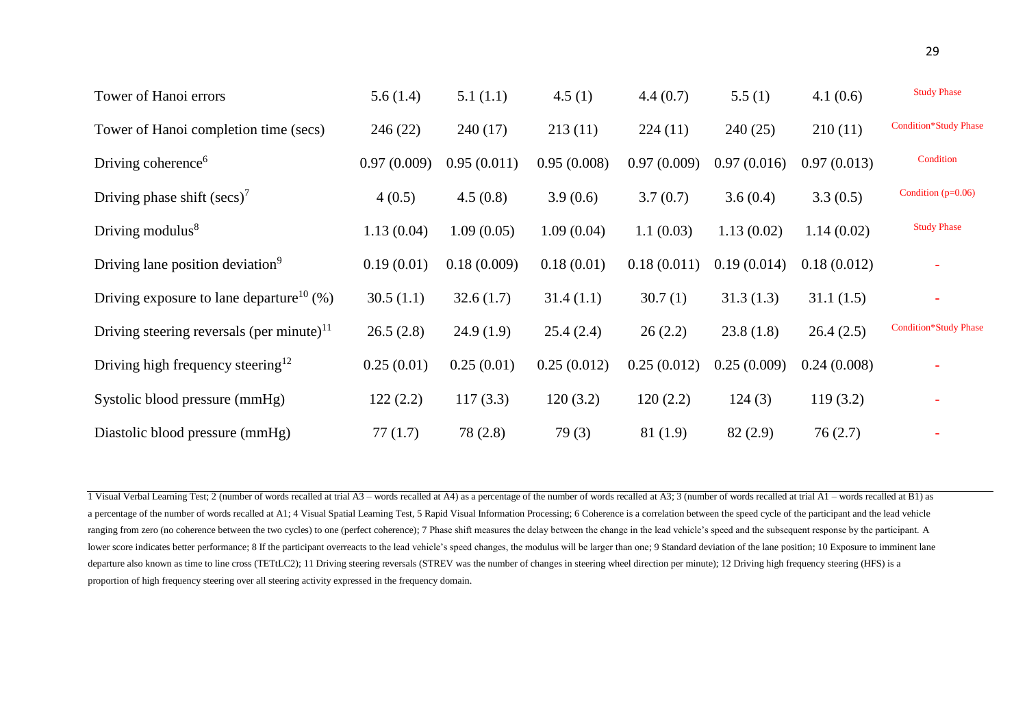| Tower of Hanoi errors                                   | 5.6(1.4)    | 5.1(1.1)    | 4.5(1)      | 4.4(0.7)    | 5.5(1)      | 4.1(0.6)    | <b>Study Phase</b>           |
|---------------------------------------------------------|-------------|-------------|-------------|-------------|-------------|-------------|------------------------------|
| Tower of Hanoi completion time (secs)                   | 246(22)     | 240(17)     | 213(11)     | 224(11)     | 240(25)     | 210(11)     | <b>Condition*Study Phase</b> |
| Driving coherence <sup>6</sup>                          | 0.97(0.009) | 0.95(0.011) | 0.95(0.008) | 0.97(0.009) | 0.97(0.016) | 0.97(0.013) | Condition                    |
| Driving phase shift $(\text{secs})^7$                   | 4(0.5)      | 4.5(0.8)    | 3.9(0.6)    | 3.7(0.7)    | 3.6(0.4)    | 3.3(0.5)    | Condition $(p=0.06)$         |
| Driving modulus <sup>8</sup>                            | 1.13(0.04)  | 1.09(0.05)  | 1.09(0.04)  | 1.1(0.03)   | 1.13(0.02)  | 1.14(0.02)  | <b>Study Phase</b>           |
| Driving lane position deviation <sup>9</sup>            | 0.19(0.01)  | 0.18(0.009) | 0.18(0.01)  | 0.18(0.011) | 0.19(0.014) | 0.18(0.012) |                              |
| Driving exposure to lane departure <sup>10</sup> $(\%)$ | 30.5(1.1)   | 32.6(1.7)   | 31.4(1.1)   | 30.7(1)     | 31.3(1.3)   | 31.1(1.5)   | $\overline{\phantom{0}}$     |
| Driving steering reversals (per minute) <sup>11</sup>   | 26.5(2.8)   | 24.9(1.9)   | 25.4(2.4)   | 26(2.2)     | 23.8(1.8)   | 26.4(2.5)   | <b>Condition*Study Phase</b> |
| Driving high frequency steering $12$                    | 0.25(0.01)  | 0.25(0.01)  | 0.25(0.012) | 0.25(0.012) | 0.25(0.009) | 0.24(0.008) | $\overline{\phantom{a}}$     |
| Systolic blood pressure (mmHg)                          | 122(2.2)    | 117(3.3)    | 120(3.2)    | 120(2.2)    | 124(3)      | 119(3.2)    | $\overline{\phantom{a}}$     |
| Diastolic blood pressure (mmHg)                         | 77(1.7)     | 78 (2.8)    | 79(3)       | 81 (1.9)    | 82(2.9)     | 76(2.7)     |                              |

1 Visual Verbal Learning Test; 2 (number of words recalled at trial A3 – words recalled at A4) as a percentage of the number of words recalled at A3; 3 (number of words recalled at trial A1 – words recalled at B1) as a percentage of the number of words recalled at A1; 4 Visual Spatial Learning Test, 5 Rapid Visual Information Processing; 6 Coherence is a correlation between the speed cycle of the participant and the lead vehicle ranging from zero (no coherence between the two cycles) to one (perfect coherence); 7 Phase shift measures the delay between the change in the lead vehicle's speed and the subsequent response by the participant. A lower score indicates better performance; 8 If the participant overreacts to the lead vehicle's speed changes, the modulus will be larger than one; 9 Standard deviation of the lane position; 10 Exposure to imminent lane departure also known as time to line cross (TETtLC2); 11 Driving steering reversals (STREV was the number of changes in steering wheel direction per minute); 12 Driving high frequency steering (HFS) is a proportion of high frequency steering over all steering activity expressed in the frequency domain.